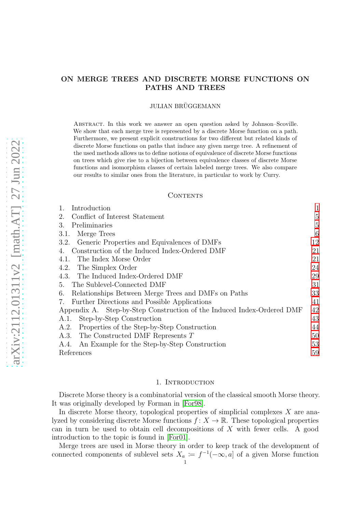# ON MERGE TREES AND DISCRETE MORSE FUNCTIONS ON PATHS AND TREES

## JULIAN BRÜGGEMANN

Abstract. In this work we answer an open question asked by Johnson–Scoville. We show that each merge tree is represented by a discrete Morse function on a path. Furthermore, we present explicit constructions for two different but related kinds of discrete Morse functions on paths that induce any given merge tree. A refinement of the used methods allows us to define notions of equivalence of discrete Morse functions on trees which give rise to a bijection between equivalence classes of discrete Morse functions and isomorphism classes of certain labeled merge trees. We also compare our results to similar ones from the literature, in particular to work by Curry.

#### CONTENTS

| Introduction                                                           |    |
|------------------------------------------------------------------------|----|
| Conflict of Interest Statement<br>2.                                   | 5  |
| Preliminaries<br>3.                                                    | 5  |
| Merge Trees<br>3.1.                                                    | 6  |
| Generic Properties and Equivalences of DMFs<br>3.2.                    | 12 |
| Construction of the Induced Index-Ordered DMF                          | 21 |
| The Index Morse Order<br>4.1.                                          | 21 |
| The Simplex Order<br>4.2.                                              | 24 |
| 4.3. The Induced Index-Ordered DMF                                     | 29 |
| The Sublevel-Connected DMF<br>5.                                       | 31 |
| Relationships Between Merge Trees and DMFs on Paths<br>6.              | 33 |
| Further Directions and Possible Applications<br>7.                     | 41 |
| Appendix A. Step-by-Step Construction of the Induced Index-Ordered DMF | 42 |
| Step-by-Step Construction<br>A.1.                                      | 43 |
| Properties of the Step-by-Step Construction<br>A.2.                    | 44 |
| The Constructed DMF Represents T<br>A.3.                               | 50 |
| An Example for the Step-by-Step Construction<br>A.4.                   | 53 |
| References                                                             | 59 |

#### 1. INTRODUCTION

<span id="page-0-0"></span>Discrete Morse theory is a combinatorial version of the classical smooth Morse theory. It was originally developed by Forman in [\[For98\]](#page-58-1).

In discrete Morse theory, topological properties of simplicial complexes X are analyzed by considering discrete Morse functions  $f: X \to \mathbb{R}$ . These topological properties can in turn be used to obtain cell decompositions of X with fewer cells. A good introduction to the topic is found in [\[For01\]](#page-58-2).

Merge trees are used in Morse theory in order to keep track of the development of connected components of sublevel sets  $X_a := f^{-1}(-\infty, a]$  of a given Morse function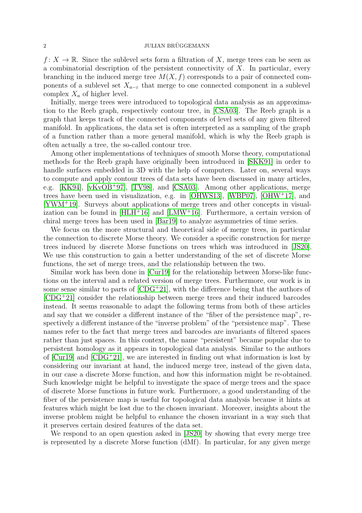## $2$  JULIAN BRÜGGEMANN

 $f: X \to \mathbb{R}$ . Since the sublevel sets form a filtration of X, merge trees can be seen as a combinatorial description of the persistent connectivity of  $X$ . In particular, every branching in the induced merge tree  $M(X, f)$  corresponds to a pair of connected components of a sublevel set  $X_{a-\varepsilon}$  that merge to one connected component in a sublevel complex  $X_a$  of higher level.

Initially, merge trees were introduced to topological data analysis as an approximation to the Reeb graph, respectively contour tree, in [\[CSA03\]](#page-58-3). The Reeb graph is a graph that keeps track of the connected components of level sets of any given filtered manifold. In applications, the data set is often interpreted as a sampling of the graph of a function rather than a more general manifold, which is why the Reeb graph is often actually a tree, the so-called contour tree.

Among other implementations of techniques of smooth Morse theory, computational methods for the Reeb graph have originally been introduced in [\[SKK91\]](#page-58-4) in order to handle surfaces embedded in 3D with the help of computers. Later on, several ways to compute and apply contour trees of data sets have been discussed in many articles, e.g. [\[KK94\]](#page-58-5), [\[vKvOB](#page-58-6)<sup>+</sup>97], [\[TV98\]](#page-58-7), and [\[CSA03\]](#page-58-3). Among other applications, merge trees have been used in visualization, e.g. in [\[OHWS13\]](#page-58-8), [\[WBP07\]](#page-58-9), [\[OHW](#page-58-10)<sup>+</sup>17], and [\[YWM](#page-58-11)<sup>+</sup>19]. Surveys about applications of merge trees and other concepts in visualization can be found in  $[HLH^+16]$  and  $[LMW^+16]$ . Furthermore, a certain version of chiral merge trees has been used in [\[Bar19\]](#page-58-14) to analyze asymmetries of time series.

We focus on the more structural and theoretical side of merge trees, in particular the connection to discrete Morse theory. We consider a specific construction for merge trees induced by discrete Morse functions on trees which was introduced in [\[JS20\]](#page-58-15). We use this construction to gain a better understanding of the set of discrete Morse functions, the set of merge trees, and the relationship between the two.

Similar work has been done in [\[Cur19\]](#page-58-16) for the relationship between Morse-like functions on the interval and a related version of merge trees. Furthermore, our work is in some sense similar to parts of  $[CDG+21]$ , with the difference being that the authors of [\[CDG](#page-58-17)<sup>+</sup>21] consider the relationship between merge trees and their induced barcodes instead. It seems reasonable to adapt the following terms from both of these articles and say that we consider a different instance of the "fiber of the persistence map", respectively a different instance of the "inverse problem" of the "persistence map". These names refer to the fact that merge trees and barcodes are invariants of filtered spaces rather than just spaces. In this context, the name "persistent" became popular due to persistent homology as it appears in topological data analysis. Similar to the authors of  $\lbrack \text{Cur19} \rbrack$  and  $\lbrack \text{CDG}^{+}21 \rbrack$ , we are interested in finding out what information is lost by considering our invariant at hand, the induced merge tree, instead of the given data, in our case a discrete Morse function, and how this information might be re-obtained. Such knowledge might be helpful to investigate the space of merge trees and the space of discrete Morse functions in future work. Furthermore, a good understanding of the fiber of the persistence map is useful for topological data analysis because it hints at features which might be lost due to the chosen invariant. Moreover, insights about the inverse problem might be helpful to enhance the chosen invariant in a way such that it preserves certain desired features of the data set.

We respond to an open question asked in [\[JS20\]](#page-58-15) by showing that every merge tree is represented by a discrete Morse function (dMf). In particular, for any given merge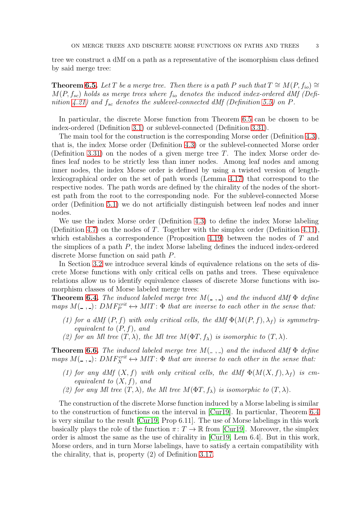tree we construct a dMf on a path as a representative of the isomorphism class defined by said merge tree:

**Theorem [6.5.](#page-34-0)** Let T be a merge tree. Then there is a path P such that  $T \cong M(P, f_{io}) \cong$  $M(P, f_{sc})$  holds as merge trees where  $f_{io}$  denotes the induced index-ordered dMf (Defi-nition [4.21\)](#page-28-1) and  $f_{sc}$  denotes the sublevel-connected dMf (Definition [5.5\)](#page-30-1) on P.

In particular, the discrete Morse function from Theorem [6.5](#page-34-0) can be chosen to be index-ordered (Definition [3.1\)](#page-4-2) or sublevel-connected (Definition [3.31\)](#page-12-0).

The main tool for the construction is the corresponding Morse order (Definition [4.3\)](#page-21-0), that is, the index Morse order (Definition [4.3\)](#page-21-0) or the sublevel-connected Morse order (Definition [3.31\)](#page-12-0) on the nodes of a given merge tree  $T$ . The index Morse order defines leaf nodes to be strictly less than inner nodes. Among leaf nodes and among inner nodes, the index Morse order is defined by using a twisted version of lengthlexicographical order on the set of path words (Lemma [4.17\)](#page-27-0) that correspond to the respective nodes. The path words are defined by the chirality of the nodes of the shortest path from the root to the corresponding node. For the sublevel-connected Morse order (Definition [5.1\)](#page-30-2) we do not artificially distinguish between leaf nodes and inner nodes.

We use the index Morse order (Definition [4.3\)](#page-21-0) to define the index Morse labeling (Definition [4.7\)](#page-22-0) on the nodes of  $T$ . Together with the simplex order (Definition [4.11\)](#page-23-1), which establishes a correspondence (Proposition [4.19\)](#page-27-1) between the nodes of  $T$  and the simplices of a path P, the index Morse labeling defines the induced index-ordered discrete Morse function on said path P.

In Section [3.2](#page-11-0) we introduce several kinds of equivalence relations on the sets of discrete Morse functions with only critical cells on paths and trees. These equivalence relations allow us to identify equivalence classes of discrete Morse functions with isomorphism classes of Morse labeled merge trees:

**Theorem [6.4.](#page-33-0)** The induced labeled merge tree  $M(\_ ,\_ )$  and the induced dMf  $\Phi$  define maps  $M(\square, \square)$ :  $DMF_P^{crit} \leftrightarrow MIT$ :  $\Phi$  that are inverse to each other in the sense that:

- (1) for a dMf  $(P, f)$  with only critical cells, the dMf  $\Phi(M(P, f), \lambda_f)$  is symmetryequivalent to  $(P, f)$ , and
- (2) for an Ml tree  $(T, \lambda)$ , the Ml tree  $M(\Phi T, f_{\lambda})$  is isomorphic to  $(T, \lambda)$ .

**Theorem [6.6.](#page-35-0)** The induced labeled merge tree  $M(\_ ,\_ )$  and the induced dMf  $\Phi$  define maps  $M(\square, \square)$ :  $DMF_X^{crit} \leftrightarrow MIT$ :  $\Phi$  that are inverse to each other in the sense that:

- (1) for any dMf  $(X, f)$  with only critical cells, the dMf  $\Phi(M(X, f), \lambda_f)$  is cmequivalent to  $(X, f)$ , and
- (2) for any Ml tree  $(T, \lambda)$ , the Ml tree  $M(\Phi T, f_{\lambda})$  is isomorphic to  $(T, \lambda)$ .

The construction of the discrete Morse function induced by a Morse labeling is similar to the construction of functions on the interval in [\[Cur19\]](#page-58-16). In particular, Theorem [6.4](#page-33-0) is very similar to the result [\[Cur19,](#page-58-16) Prop 6.11]. The use of Morse labelings in this work basically plays the role of the function  $\pi: T \to \mathbb{R}$  from [\[Cur19\]](#page-58-16). Moreover, the simplex order is almost the same as the use of chirality in [\[Cur19,](#page-58-16) Lem 6.4]. But in this work, Morse orders, and in turn Morse labelings, have to satisfy a certain compatibility with the chirality, that is, property (2) of Definition [3.17.](#page-7-0)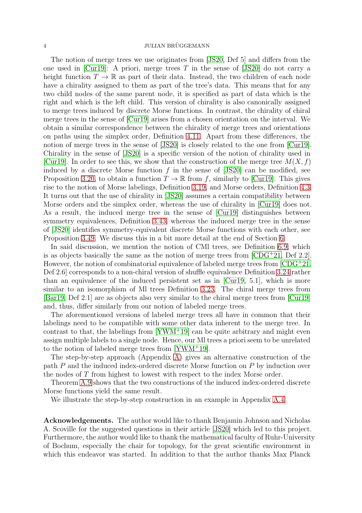The notion of merge trees we use originates from [\[JS20,](#page-58-15) Def 5] and differs from the one used in [\[Cur19\]](#page-58-16): A priori, merge trees T in the sense of  $|JS20|$  do not carry a height function  $T \to \mathbb{R}$  as part of their data. Instead, the two children of each node have a chirality assigned to them as part of the tree's data. This means that for any two child nodes of the same parent node, it is specified as part of data which is the right and which is the left child. This version of chirality is also canonically assigned to merge trees induced by discrete Morse functions. In contrast, the chirality of chiral merge trees in the sense of [\[Cur19\]](#page-58-16) arises from a chosen orientation on the interval. We obtain a similar correspondence between the chirality of merge trees and orientations on paths using the simplex order, Definition [4.11.](#page-23-1) Apart from these differences, the notion of merge trees in the sense of [\[JS20\]](#page-58-15) is closely related to the one from [\[Cur19\]](#page-58-16). Chirality in the sense of [\[JS20\]](#page-58-15) is a specific version of the notion of chirality used in [\[Cur19\]](#page-58-16). In order to see this, we show that the construction of the merge tree  $M(X, f)$ induced by a discrete Morse function  $f$  in the sense of [\[JS20\]](#page-58-15) can be modified, see Proposition [3.20,](#page-8-0) to obtain a function  $T \to \mathbb{R}$  from f, similarly to [\[Cur19\]](#page-58-16). This gives rise to the notion of Morse labelings, Definition [3.19,](#page-7-1) and Morse orders, Definition [4.3.](#page-21-0) It turns out that the use of chirality in [\[JS20\]](#page-58-15) assumes a certain compatibility between Morse orders and the simplex order, whereas the use of chirality in [\[Cur19\]](#page-58-16) does not. As a result, the induced merge tree in the sense of [\[Cur19\]](#page-58-16) distinguishes between symmetry equivalences, Definition [3.43,](#page-16-0) whereas the induced merge tree in the sense of [\[JS20\]](#page-58-15) identifies symmetry-equivalent discrete Morse functions with each other, see Proposition [3.49.](#page-17-0) We discuss this in a bit more detail at the end of Section [6.](#page-32-0)

In said discussion, we mention the notion of CMl trees, see Definition [6.9,](#page-36-0) which is as objects basically the same as the notion of merge trees from  $[CDG+21, Def 2.2]$ . However, the notion of combinatorial equivalence of labeled merge trees from  $[CDG^+21]$ , Def 2.6] corresponds to a non-chiral version of shuffle equivalence Definition [3.24](#page-10-0) rather than an equivalence of the induced persistent set as in [\[Cur19,](#page-58-16) 5.1], which is more similar to an isomorphism of Ml trees Definition [3.23.](#page-10-1) The chiral merge trees from [\[Bar19,](#page-58-14) Def 2.1] are as objects also very similar to the chiral merge trees from [\[Cur19\]](#page-58-16) and, thus, differ similarly from our notion of labeled merge trees.

The aforementioned versions of labeled merge trees all have in common that their labelings need to be compatible with some other data inherent to the merge tree. In contrast to that, the labelings from [\[YWM](#page-58-11)<sup>+</sup>19] can be quite arbitrary and might even assign multiple labels to a single node. Hence, our Ml trees a priori seem to be unrelated to the notion of labeled merge trees from [\[YWM](#page-58-11)<sup>+</sup>19].

The step-by-step approach (Appendix [A\)](#page-41-0) gives an alternative construction of the path P and the induced index-ordered discrete Morse function on P by induction over the nodes of T from highest to lowest with respect to the index Morse order.

Theorem [A.9](#page-47-0) shows that the two constructions of the induced index-ordered discrete Morse functions yield the same result.

We illustrate the step-by-step construction in an example in Appendix [A.4.](#page-52-0)

Acknowledgements. The author would like to thank Benjamin Johnson and Nicholas A. Scoville for the suggested questions in their article [\[JS20\]](#page-58-15) which led to this project. Furthermore, the author would like to thank the mathematical faculty of Ruhr-University of Bochum, especially the chair for topology, for the great scientific environment in which this endeavor was started. In addition to that the author thanks Max Planck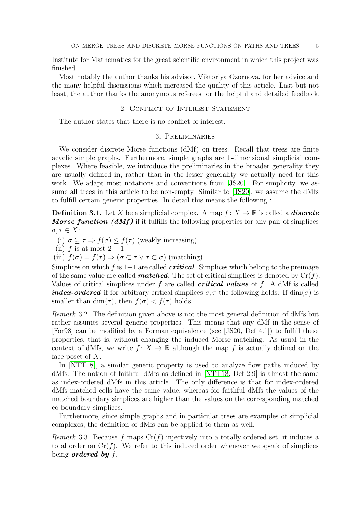Institute for Mathematics for the great scientific environment in which this project was finished.

<span id="page-4-0"></span>Most notably the author thanks his advisor, Viktoriya Ozornova, for her advice and the many helpful discussions which increased the quality of this article. Last but not least, the author thanks the anonymous referees for the helpful and detailed feedback.

#### 2. Conflict of Interest Statement

<span id="page-4-1"></span>The author states that there is no conflict of interest.

## 3. Preliminaries

We consider discrete Morse functions (dMf) on trees. Recall that trees are finite acyclic simple graphs. Furthermore, simple graphs are 1-dimensional simplicial complexes. Where feasible, we introduce the preliminaries in the broader generality they are usually defined in, rather than in the lesser generality we actually need for this work. We adapt most notations and conventions from [\[JS20\]](#page-58-15). For simplicity, we assume all trees in this article to be non-empty. Similar to [\[JS20\]](#page-58-15), we assume the dMfs to fulfill certain generic properties. In detail this means the following :

<span id="page-4-2"></span>**Definition 3.1.** Let X be a simplicial complex. A map  $f: X \to \mathbb{R}$  is called a *discrete* **Morse function (dMf)** if it fulfills the following properties for any pair of simplices  $\sigma, \tau \in X$ :

(i)  $\sigma \subseteq \tau \Rightarrow f(\sigma) \leq f(\tau)$  (weakly increasing)

(ii) f is at most  $2-1$ 

(iii)  $f(\sigma) = f(\tau) \Rightarrow (\sigma \subset \tau \lor \tau \subset \sigma)$  (matching)

Simplices on which f is 1−1 are called **critical**. Simplices which belong to the preimage of the same value are called **matched**. The set of critical simplices is denoted by  $Cr(f)$ . Values of critical simplices under f are called **critical values** of f. A dMf is called **index-ordered** if for arbitrary critical simplices  $\sigma$ ,  $\tau$  the following holds: If  $\dim(\sigma)$  is smaller than dim( $\tau$ ), then  $f(\sigma) < f(\tau)$  holds.

Remark 3.2. The definition given above is not the most general definition of dMfs but rather assumes several generic properties. This means that any dMf in the sense of [\[For98\]](#page-58-1) can be modified by a Forman equivalence (see [\[JS20,](#page-58-15) Def 4.1]) to fulfill these properties, that is, without changing the induced Morse matching. As usual in the context of dMfs, we write  $f: X \to \mathbb{R}$  although the map f is actually defined on the face poset of  $X$ .

In [\[NTT18\]](#page-58-18), a similar generic property is used to analyze flow paths induced by dMfs. The notion of faithful dMfs as defined in [\[NTT18,](#page-58-18) Def 2.9] is almost the same as index-ordered dMfs in this article. The only difference is that for index-ordered dMfs matched cells have the same value, whereas for faithful dMfs the values of the matched boundary simplices are higher than the values on the corresponding matched co-boundary simplices.

Furthermore, since simple graphs and in particular trees are examples of simplicial complexes, the definition of dMfs can be applied to them as well.

<span id="page-4-3"></span>*Remark* 3.3. Because f maps  $Cr(f)$  injectively into a totally ordered set, it induces a total order on  $Cr(f)$ . We refer to this induced order whenever we speak of simplices being *ordered* by  $f$ .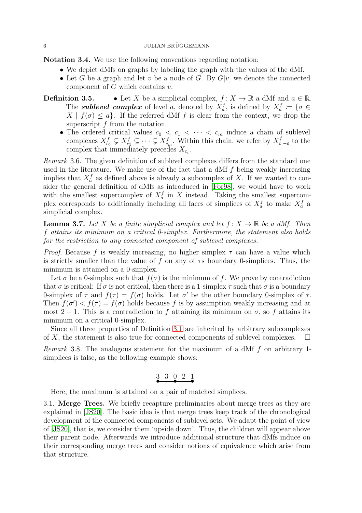Notation 3.4. We use the following conventions regarding notation:

- We depict dMfs on graphs by labeling the graph with the values of the dMf.
- Let G be a graph and let v be a node of G. By  $G[v]$  we denote the connected component of  $G$  which contains  $v$ .
- **Definition 3.5.** Let X be a simplicial complex,  $f: X \to \mathbb{R}$  a dMf and  $a \in \mathbb{R}$ . The **sublevel complex** of level a, denoted by  $X_a^f$ , is defined by  $X_a^f := \{ \sigma \in \mathbb{R}^d : a \in \mathbb{R}^d : a \in \mathbb{R}^d : a \neq a \}$  $X \mid f(\sigma) \leq a$ . If the referred dMf f is clear from the context, we drop the superscript f from the notation.
	- The ordered critical values  $c_0 < c_1 < \cdots < c_m$  induce a chain of sublevel complexes  $X_{c_0}^f \subsetneq X_{c_1}^f \subsetneq \cdots \subsetneq X_{c_m}^f$ . Within this chain, we refer by  $X_{c_0}^f$  $\frac{J}{c_i - \varepsilon}$  to the complex that immediately precedes  $X_{c_i}$ .

Remark 3.6. The given definition of sublevel complexes differs from the standard one used in the literature. We make use of the fact that a dMf  $f$  being weakly increasing implies that  $X_a^f$  as defined above is already a subcomplex of X. If we wanted to consider the general definition of dMfs as introduced in [\[For98\]](#page-58-1), we would have to work with the smallest supercomplex of  $X_a^f$  in X instead. Taking the smallest supercomplex corresponds to additionally including all faces of simplices of  $X_a^f$  to make  $X_a^f$  a simplicial complex.

<span id="page-5-1"></span>**Lemma 3.7.** Let X be a finite simplicial complex and let  $f: X \to \mathbb{R}$  be a dMf. Then f attains its minimum on a critical 0-simplex. Furthermore, the statement also holds for the restriction to any connected component of sublevel complexes.

*Proof.* Because f is weakly increasing, no higher simplex  $\tau$  can have a value which is strictly smaller than the value of f on any of  $\tau s$  boundary 0-simplices. Thus, the minimum is attained on a 0-simplex.

Let  $\sigma$  be a 0-simplex such that  $f(\sigma)$  is the minimum of f. We prove by contradiction that  $\sigma$  is critical: If  $\sigma$  is not critical, then there is a 1-simplex  $\tau$  such that  $\sigma$  is a boundary 0-simplex of  $\tau$  and  $f(\tau) = f(\sigma)$  holds. Let  $\sigma'$  be the other boundary 0-simplex of  $\tau$ . Then  $f(\sigma') < f(\tau) = f(\sigma)$  holds because f is by assumption weakly increasing and at most 2 − 1. This is a contradiction to f attaining its minimum on  $\sigma$ , so f attains its minimum on a critical 0-simplex.

Since all three properties of Definition [3.1](#page-4-2) are inherited by arbitrary subcomplexes of X, the statement is also true for connected components of sublevel complexes.  $\Box$ 

Remark 3.8. The analogous statement for the maximum of a dMf f on arbitrary 1 simplices is false, as the following example shows:

$$
\overset{3}{\bullet} \overset{3}{\bullet} \overset{0}{\bullet} \overset{2}{\bullet} \overset{1}{\bullet}
$$

Here, the maximum is attained on a pair of matched simplices.

<span id="page-5-0"></span>3.1. Merge Trees. We briefly recapture preliminaries about merge trees as they are explained in [\[JS20\]](#page-58-15). The basic idea is that merge trees keep track of the chronological development of the connected components of sublevel sets. We adapt the point of view of [\[JS20\]](#page-58-15), that is, we consider them 'upside down'. Thus, the children will appear above their parent node. Afterwards we introduce additional structure that dMfs induce on their corresponding merge trees and consider notions of equivalence which arise from that structure.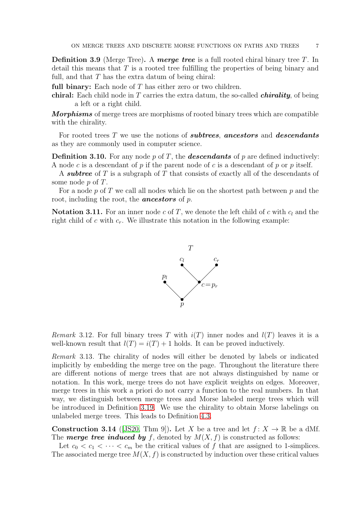**Definition 3.9** (Merge Tree). A merge tree is a full rooted chiral binary tree T. In detail this means that T is a rooted tree fulfilling the properties of being binary and full, and that  $T$  has the extra datum of being chiral:

full binary: Each node of  $T$  has either zero or two children.

chiral: Each child node in  $T$  carries the extra datum, the so-called *chirality*, of being a left or a right child.

*Morphisms* of merge trees are morphisms of rooted binary trees which are compatible with the chirality.

For rooted trees  $T$  we use the notions of **subtrees**, **ancestors** and **descendants** as they are commonly used in computer science.

**Definition 3.10.** For any node p of T, the **descendants** of p are defined inductively: A node c is a descendant of p if the parent node of c is a descendant of p or p itself.

A subtree of T is a subgraph of T that consists of exactly all of the descendants of some node p of T.

For a node  $p$  of T we call all nodes which lie on the shortest path between  $p$  and the root, including the root, the **ancestors** of  $p$ .

<span id="page-6-1"></span>**Notation 3.11.** For an inner node c of T, we denote the left child of c with  $c_l$  and the right child of c with  $c_r$ . We illustrate this notation in the following example:



Remark 3.12. For full binary trees T with  $i(T)$  inner nodes and  $l(T)$  leaves it is a well-known result that  $l(T) = i(T) + 1$  holds. It can be proved inductively.

Remark 3.13. The chirality of nodes will either be denoted by labels or indicated implicitly by embedding the merge tree on the page. Throughout the literature there are different notions of merge trees that are not always distinguished by name or notation. In this work, merge trees do not have explicit weights on edges. Moreover, merge trees in this work a priori do not carry a function to the real numbers. In that way, we distinguish between merge trees and Morse labeled merge trees which will be introduced in Definition [3.19.](#page-7-1) We use the chirality to obtain Morse labelings on unlabeled merge trees. This leads to Definition [4.3.](#page-21-0)

<span id="page-6-0"></span>**Construction 3.14** ([\[JS20,](#page-58-15) Thm 9]). Let X be a tree and let  $f: X \to \mathbb{R}$  be a dMf. The **merge tree induced by** f, denoted by  $M(X, f)$  is constructed as follows:

Let  $c_0 < c_1 < \cdots < c_m$  be the critical values of f that are assigned to 1-simplices. The associated merge tree  $M(X, f)$  is constructed by induction over these critical values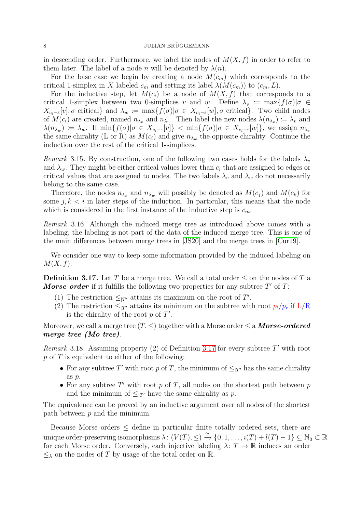in descending order. Furthermore, we label the nodes of  $M(X, f)$  in order to refer to them later. The label of a node n will be denoted by  $\lambda(n)$ .

For the base case we begin by creating a node  $M(c_m)$  which corresponds to the critical 1-simplex in X labeled  $c_m$  and setting its label  $\lambda(M(c_m))$  to  $(c_m, L)$ .

For the inductive step, let  $M(c_i)$  be a node of  $M(X, f)$  that corresponds to a critical 1-simplex between two 0-simplices v and w. Define  $\lambda_v := \max\{f(\sigma)|\sigma \in$  $X_{c_i-\varepsilon}[v], \sigma$  critical} and  $\lambda_w := \max\{f(\sigma) | \sigma \in X_{c_i-\varepsilon}[w], \sigma$  critical}. Two child nodes of  $M(c_i)$  are created, named  $n_{\lambda_v}$  and  $n_{\lambda_w}$ . Then label the new nodes  $\lambda(n_{\lambda_v}) \coloneqq \lambda_v$  and  $\lambda(n_{\lambda_w}) := \lambda_w$ . If  $\min\{f(\sigma)|\sigma \in X_{c_i-\varepsilon}[v]\}$  <  $\min\{f(\sigma)|\sigma \in X_{c_i-\varepsilon}[w]\}$ , we assign  $n_{\lambda_v}$ the same chirality (L or R) as  $M(c_i)$  and give  $n_{\lambda_w}$  the opposite chirality. Continue the induction over the rest of the critical 1-simplices.

Remark 3.15. By construction, one of the following two cases holds for the labels  $\lambda_v$ and  $\lambda_w$ . They might be either critical values lower than  $c_i$  that are assigned to edges or critical values that are assigned to nodes. The two labels  $\lambda_v$  and  $\lambda_w$  do not necessarily belong to the same case.

Therefore, the nodes  $n_{\lambda_n}$  and  $n_{\lambda_w}$  will possibly be denoted as  $M(c_i)$  and  $M(c_k)$  for some  $j, k < i$  in later steps of the induction. In particular, this means that the node which is considered in the first instance of the inductive step is  $c_m$ .

Remark 3.16. Although the induced merge tree as introduced above comes with a labeling, the labeling is not part of the data of the induced merge tree. This is one of the main differences between merge trees in [\[JS20\]](#page-58-15) and the merge trees in [\[Cur19\]](#page-58-16).

<span id="page-7-0"></span>We consider one way to keep some information provided by the induced labeling on  $M(X, f)$ .

**Definition 3.17.** Let T be a merge tree. We call a total order  $\leq$  on the nodes of T a **Morse order** if it fulfills the following two properties for any subtree  $T'$  of  $T$ :

- (1) The restriction  $\leq_{|T'}$  attains its maximum on the root of T'.
- (2) The restriction  $\leq_{|T'}$  attains its minimum on the subtree with root  $p_l/p_r$  if L/R is the chirality of the root  $p$  of  $T'$ .

Moreover, we call a merge tree  $(T, \leq)$  together with a Morse order  $\leq$  a **Morse-ordered** merge tree (Mo tree).

Remark 3.18. Assuming property  $(2)$  of Definition [3.17](#page-7-0) for every subtree  $T'$  with root  $p \text{ of } T$  is equivalent to either of the following:

- For any subtree T' with root p of T, the minimum of  $\leq_{|T'}$  has the same chirality as p.
- For any subtree  $T'$  with root  $p$  of  $T$ , all nodes on the shortest path between  $p$ and the minimum of  $\leq_{|T'}$  have the same chirality as p.

The equivalence can be proved by an inductive argument over all nodes of the shortest path between  $p$  and the minimum.

<span id="page-7-1"></span>Because Morse orders  $\leq$  define in particular finite totally ordered sets, there are unique order-preserving isomorphisms  $\lambda: (V(T), \leq) \stackrel{\cong}{\to} \{0, 1, \ldots, i(T) + l(T) - 1\} \subseteq \mathbb{N}_0 \subset \mathbb{R}$ for each Morse order. Conversely, each injective labeling  $\lambda: T \to \mathbb{R}$  induces an order  $\leq_{\lambda}$  on the nodes of T by usage of the total order on R.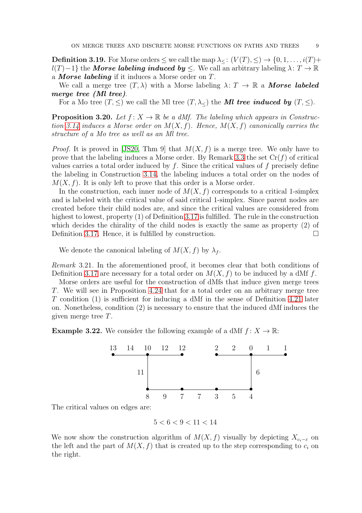**Definition 3.19.** For Morse orders  $\leq$  we call the map  $\lambda \leq (V(T), \leq) \rightarrow \{0, 1, \ldots, i(T) +$  $l(T)-1$ } the *Morse labeling induced by*  $\leq$ . We call an arbitrary labeling  $\lambda: T \to \mathbb{R}$ a **Morse labeling** if it induces a Morse order on  $T$ .

We call a merge tree  $(T, \lambda)$  with a Morse labeling  $\lambda: T \to \mathbb{R}$  a **Morse labeled** merge tree (Ml tree).

For a Mo tree  $(T, \leq)$  we call the Ml tree  $(T, \lambda_<)$  the Ml tree induced by  $(T, \leq)$ .

<span id="page-8-0"></span>**Proposition 3.20.** Let  $f: X \to \mathbb{R}$  be a dMf. The labeling which appears in Construc-tion [3.14](#page-6-0) induces a Morse order on  $M(X, f)$ . Hence,  $M(X, f)$  canonically carries the structure of a Mo tree as well as an Ml tree.

*Proof.* It is proved in [\[JS20,](#page-58-15) Thm 9] that  $M(X, f)$  is a merge tree. We only have to prove that the labeling induces a Morse order. By Remark [3.3](#page-4-3) the set  $Cr(f)$  of critical values carries a total order induced by  $f$ . Since the critical values of  $f$  precisely define the labeling in Construction [3.14,](#page-6-0) the labeling induces a total order on the nodes of  $M(X, f)$ . It is only left to prove that this order is a Morse order.

In the construction, each inner node of  $M(X, f)$  corresponds to a critical 1-simplex and is labeled with the critical value of said critical 1-simplex. Since parent nodes are created before their child nodes are, and since the critical values are considered from highest to lowest, property  $(1)$  of Definition [3.17](#page-7-0) is fulfilled. The rule in the construction which decides the chirality of the child nodes is exactly the same as property (2) of Definition [3.17.](#page-7-0) Hence, it is fulfilled by construction.  $\Box$ 

We denote the canonical labeling of  $M(X, f)$  by  $\lambda_f$ .

Remark 3.21. In the aforementioned proof, it becomes clear that both conditions of Definition [3.17](#page-7-0) are necessary for a total order on  $M(X, f)$  to be induced by a dMf f.

Morse orders are useful for the construction of dMfs that induce given merge trees T. We will see in Proposition [4.24](#page-28-2) that for a total order on an arbitrary merge tree T condition (1) is sufficient for inducing a dMf in the sense of Definition [4.21](#page-28-1) later on. Nonetheless, condition (2) is necessary to ensure that the induced dMf induces the given merge tree T.

**Example 3.22.** We consider the following example of a dMf  $f: X \to \mathbb{R}$ :



The critical values on edges are:

 $5 < 6 < 9 < 11 < 14$ 

We now show the construction algorithm of  $M(X, f)$  visually by depicting  $X_{c_i-\varepsilon}$  on the left and the part of  $M(X, f)$  that is created up to the step corresponding to  $c_i$  on the right.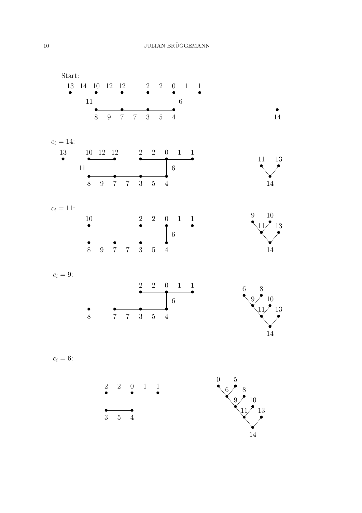Start: • • • • • • • • • • •  $\begin{array}{ccccccccc}\n 13 & 14 & 10 & 12 & 12 & & 2 & 2 & 0 & 1 & 1\n \end{array}$ 8 9 7 7 3 5 4 11 6 • 14  $c_i = 14$ : • • • • • • • • • • 13 10 12 12 2 2 0 1 1 8 9 7 7 3 5 4 11 6 • 14 • • 11 13  $c_i = 11$ : • • • • • • • •  $10$   $2$   $2$   $0$   $1$   $1$ 8 9 7 7 3 5 4 6 • 14 • • • 9  $11)^{9}$  13 10  $c_i = 9$ :  $\bullet$   $\bullet$   $\bullet$ • • • •  $\frac{2}{2}$   $\frac{2}{2}$   $\frac{0}{2}$   $\frac{1}{2}$   $\frac{1}{2}$ 8 7 7 3 5 4 6 • 14 • • • 9 • <sup>10</sup> • 6 • 8 13

$$
c_i=6:
$$

$$
\begin{array}{cccc}\n2 & 2 & 0 & 1 & 1 \\
\hline\n\end{array}
$$

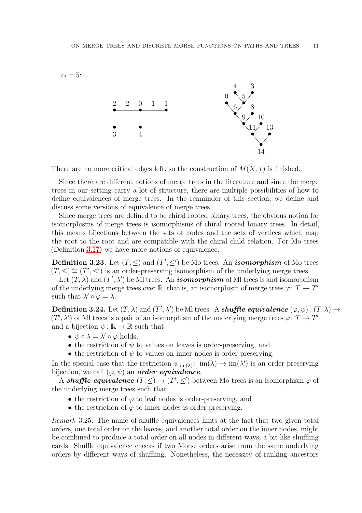

There are no more critical edges left, so the construction of  $M(X, f)$  is finished.

Since there are different notions of merge trees in the literature and since the merge trees in our setting carry a lot of structure, there are multiple possibilities of how to define equivalences of merge trees. In the remainder of this section, we define and discuss some versions of equivalence of merge trees.

Since merge trees are defined to be chiral rooted binary trees, the obvious notion for isomorphisms of merge trees is isomorphisms of chiral rooted binary trees. In detail, this means bijections between the sets of nodes and the sets of vertices which map the root to the root and are compatible with the chiral child relation. For Mo trees (Definition [3.17\)](#page-7-0) we have more notions of equivalence.

<span id="page-10-1"></span>**Definition 3.23.** Let  $(T, \leq)$  and  $(T', \leq')$  be Mo trees. An *isomorphism* of Mo trees  $(T, \leq) \cong (T', \leq')$  is an order-preserving isomorphism of the underlying merge trees.

Let  $(T, \lambda)$  and  $(T', \lambda')$  be MI trees. An *isomorphism* of MI trees is and isomorphism of the underlying merge trees over  $\mathbb R$ , that is, an isomorphism of merge trees  $\varphi \colon T \to T'$ such that  $\lambda' \circ \varphi = \lambda$ .

<span id="page-10-0"></span>**Definition 3.24.** Let  $(T, \lambda)$  and  $(T', \lambda')$  be MI trees. A **shuffle equivalence**  $(\varphi, \psi)$ :  $(T, \lambda) \rightarrow$  $(T', \lambda')$  of MI trees is a pair of an isomorphism of the underlying merge trees  $\varphi \colon T \to T'$ and a bijection  $\psi : \mathbb{R} \to \mathbb{R}$  such that

- $\psi \circ \lambda = \lambda' \circ \varphi$  holds,
- the restriction of  $\psi$  to values on leaves is order-preserving, and
- the restriction of  $\psi$  to values on inner nodes is order-preserving.

In the special case that the restriction  $\psi_{\text{lim}(\lambda)}: \text{im}(\lambda) \to \text{im}(\lambda')$  is an order preserving bijection, we call  $(\varphi, \psi)$  an **order equivalence**.

A shuffle equivalence  $(T, \leq) \to (T', \leq')$  between Mo trees is an isomorphism  $\varphi$  of the underlying merge trees such that

- the restriction of  $\varphi$  to leaf nodes is order-preserving, and
- $\bullet$  the restriction of  $\varphi$  to inner nodes is order-preserving.

Remark 3.25. The name of shuffle equivalences hints at the fact that two given total orders, one total order on the leaves, and another total order on the inner nodes, might be combined to produce a total order on all nodes in different ways, a bit like shuffling cards. Shuffle equivalence checks if two Morse orders arise from the same underlying orders by different ways of shuffling. Nonetheless, the necessity of ranking ancestors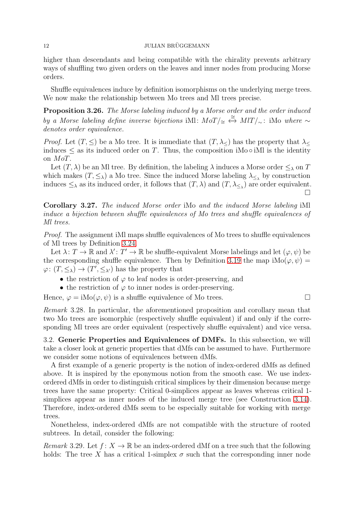## 12 JULIAN BRÜGGEMANN

higher than descendants and being compatible with the chirality prevents arbitrary ways of shuffling two given orders on the leaves and inner nodes from producing Morse orders.

<span id="page-11-2"></span>Shuffle equivalences induce by definition isomorphisms on the underlying merge trees. We now make the relationship between Mo trees and MI trees precise.

Proposition 3.26. The Morse labeling induced by a Morse order and the order induced by a Morse labeling define inverse bijections iMl:  $M\circ T/\cong \stackrel{\cong}{\leftrightarrow} M\circ T/\sim$ : iMo where ∼ denotes order equivalence.

*Proof.* Let  $(T, \leq)$  be a Mo tree. It is immediate that  $(T, \lambda_<)$  has the property that  $\lambda_<$ induces  $\leq$  as its induced order on T. Thus, the composition iMo  $\circ$  iMl is the identity on MoT.

Let  $(T, \lambda)$  be an Ml tree. By definition, the labeling  $\lambda$  induces a Morse order  $\leq_{\lambda}$  on T which makes  $(T, \leq_{\lambda})$  a Mo tree. Since the induced Morse labeling  $\lambda_{\leq_{\lambda}}$  by construction induces  $\leq_{\lambda}$  as its induced order, it follows that  $(T, \lambda)$  and  $(T, \lambda_{\leq_{\lambda}})$  are order equivalent.  $\Box$ 

Corollary 3.27. The induced Morse order iMo and the induced Morse labeling iMl induce a bijection between shuffle equivalences of Mo trees and shuffle equivalences of Ml trees.

Proof. The assignment iMl maps shuffle equivalences of Mo trees to shuffle equivalences of Ml trees by Definition [3.24.](#page-10-0)

Let  $\lambda: T \to \mathbb{R}$  and  $\lambda': T' \to \mathbb{R}$  be shuffle-equivalent Morse labelings and let  $(\varphi, \psi)$  be the corresponding shuffle equivalence. Then by Definition [3.19](#page-7-1) the map  $i\text{Mo}(\varphi, \psi)$  =  $\varphi: (T, \leq_{\lambda}) \to (T', \leq_{\lambda'})$  has the property that

- the restriction of  $\varphi$  to leaf nodes is order-preserving, and
- the restriction of  $\varphi$  to inner nodes is order-preserving.

Hence,  $\varphi = i\text{Mo}(\varphi, \psi)$  is a shuffle equivalence of Mo trees.

Remark 3.28. In particular, the aforementioned proposition and corollary mean that two Mo trees are isomorphic (respectively shuffle equivalent) if and only if the corresponding Ml trees are order equivalent (respectively shuffle equivalent) and vice versa.

<span id="page-11-0"></span>3.2. Generic Properties and Equivalences of DMFs. In this subsection, we will take a closer look at generic properties that dMfs can be assumed to have. Furthermore we consider some notions of equivalences between dMfs.

A first example of a generic property is the notion of index-ordered dMfs as defined above. It is inspired by the eponymous notion from the smooth case. We use indexordered dMfs in order to distinguish critical simplices by their dimension because merge trees have the same property: Critical 0-simplices appear as leaves whereas critical 1 simplices appear as inner nodes of the induced merge tree (see Construction [3.14\)](#page-6-0). Therefore, index-ordered dMfs seem to be especially suitable for working with merge trees.

<span id="page-11-1"></span>Nonetheless, index-ordered dMfs are not compatible with the structure of rooted subtrees. In detail, consider the following:

*Remark* 3.29. Let  $f: X \to \mathbb{R}$  be an index-ordered dMf on a tree such that the following holds: The tree X has a critical 1-simplex  $\sigma$  such that the corresponding inner node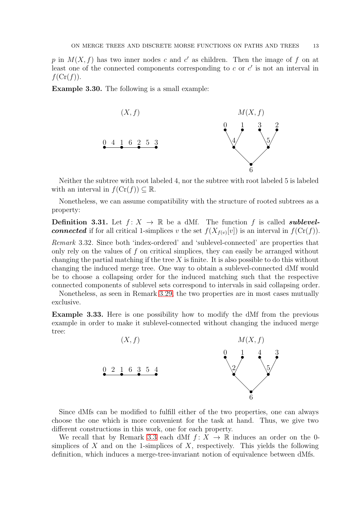p in  $M(X, f)$  has two inner nodes c and c' as children. Then the image of f on at least one of the connected components corresponding to  $c$  or  $c'$  is not an interval in  $f(\mathrm{Cr}(f)).$ 

Example 3.30. The following is a small example:



Neither the subtree with root labeled 4, nor the subtree with root labeled 5 is labeled with an interval in  $f(\mathrm{Cr}(f)) \subseteq \mathbb{R}$ .

<span id="page-12-0"></span>Nonetheless, we can assume compatibility with the structure of rooted subtrees as a property:

**Definition 3.31.** Let  $f: X \to \mathbb{R}$  be a dMf. The function f is called **sublevelconnected** if for all critical 1-simplices v the set  $f(X_{f(v)}[v])$  is an interval in  $f(\text{Cr}(f))$ .

Remark 3.32. Since both 'index-ordered' and 'sublevel-connected' are properties that only rely on the values of  $f$  on critical simplices, they can easily be arranged without changing the partial matching if the tree  $X$  is finite. It is also possible to do this without changing the induced merge tree. One way to obtain a sublevel-connected dMf would be to choose a collapsing order for the induced matching such that the respective connected components of sublevel sets correspond to intervals in said collapsing order.

Nonetheless, as seen in Remark [3.29,](#page-11-1) the two properties are in most cases mutually exclusive.

Example 3.33. Here is one possibility how to modify the dMf from the previous example in order to make it sublevel-connected without changing the induced merge tree:



Since dMfs can be modified to fulfill either of the two properties, one can always choose the one which is more convenient for the task at hand. Thus, we give two different constructions in this work, one for each property.

We recall that by Remark [3.3](#page-4-3) each dMf  $f: X \to \mathbb{R}$  induces an order on the 0simplices of X and on the 1-simplices of X, respectively. This yields the following definition, which induces a merge-tree-invariant notion of equivalence between dMfs.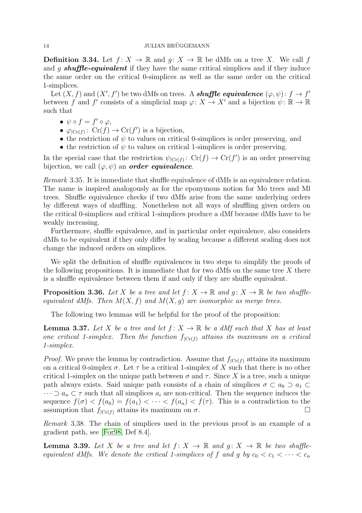## 14 JULIAN BRÜGGEMANN

**Definition 3.34.** Let  $f: X \to \mathbb{R}$  and  $q: X \to \mathbb{R}$  be dMfs on a tree X. We call f and q **shuffle-equivalent** if they have the same critical simplices and if they induce the same order on the critical 0-simplices as well as the same order on the critical 1-simplices.

Let  $(X, f)$  and  $(X', f')$  be two dMfs on trees. A **shuffle equivalence**  $(\varphi, \psi) : f \to f'$ between f and f' consists of a simplicial map  $\varphi: X \to X'$  and a bijection  $\psi: \mathbb{R} \to \mathbb{R}$ such that

- $\psi \circ f = f' \circ \varphi$ ,
- $\varphi_{\text{Cr}(f)}: \operatorname{Cr}(f) \to \operatorname{Cr}(f')$  is a bijection,
- the restriction of  $\psi$  to values on critical 0-simplices is order preserving, and
- the restriction of  $\psi$  to values on critical 1-simplices is order preserving.

In the special case that the restriction  $\psi_{\text{Cr}(f)}: \text{Cr}(f) \to \text{Cr}(f')$  is an order preserving bijection, we call  $(\varphi, \psi)$  an **order equivalence**.

Remark 3.35. It is immediate that shuffle equivalence of dMfs is an equivalence relation. The name is inspired analogously as for the eponymous notion for Mo trees and Ml trees. Shuffle equivalence checks if two dMfs arise from the same underlying orders by different ways of shuffling. Nonetheless not all ways of shuffling given orders on the critical 0-simplices and critical 1-simplices produce a dMf because dMfs have to be weakly increasing.

Furthermore, shuffle equivalence, and in particular order equivalence, also considers dMfs to be equivalent if they only differ by scaling because a different scaling does not change the induced orders on simplices.

We split the definition of shuffle equivalences in two steps to simplify the proofs of the following propositions. It is immediate that for two dMfs on the same tree  $X$  there is a shuffle equivalence between them if and only if they are shuffle equivalent.

<span id="page-13-1"></span>**Proposition 3.36.** Let X be a tree and let  $f: X \to \mathbb{R}$  and  $q: X \to \mathbb{R}$  be two shuffleequivalent dMfs. Then  $M(X, f)$  and  $M(X, g)$  are isomorphic as merge trees.

<span id="page-13-0"></span>The following two lemmas will be helpful for the proof of the proposition:

**Lemma 3.37.** Let X be a tree and let  $f: X \to \mathbb{R}$  be a dMf such that X has at least one critical 1-simplex. Then the function  $f_{|Cr(f)}$  attains its maximum on a critical 1-simplex.

*Proof.* We prove the lemma by contradiction. Assume that  $f_{|C_r(f)}$  attains its maximum on a critical 0-simplex  $\sigma$ . Let  $\tau$  be a critical 1-simplex of X such that there is no other critical 1-simplex on the unique path between  $\sigma$  and  $\tau$ . Since X is a tree, such a unique path always exists. Said unique path consists of a chain of simplices  $\sigma \subset a_0 \supset a_1 \subset$  $\cdots \supset a_n \subset \tau$  such that all simplices  $a_i$  are non-critical. Then the sequence induces the sequence  $f(\sigma) < f(a_0) = f(a_1) < \cdots < f(a_n) < f(\tau)$ . This is a contradiction to the assumption that  $f_{|C_r(f)}$  attains its maximum on  $\sigma$ .

Remark 3.38. The chain of simplices used in the previous proof is an example of a gradient path, see [\[For98,](#page-58-1) Def 8.4].

<span id="page-13-2"></span>**Lemma 3.39.** Let X be a tree and let  $f: X \to \mathbb{R}$  and  $q: X \to \mathbb{R}$  be two shuffleequivalent dMfs. We denote the critical 1-simplices of f and g by  $c_0 < c_1 < \cdots < c_n$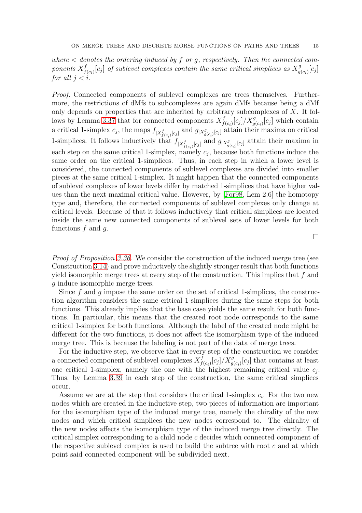where  $\langle$  denotes the ordering induced by f or g, respectively. Then the connected components  $X_f^f$  $f_{(c_i)}[c_j]$  of sublevel complexes contain the same critical simplices as  $X_g^g$  $_g^g(c_i)[c_j]$ for all  $i < i$ .

Proof. Connected components of sublevel complexes are trees themselves. Furthermore, the restrictions of dMfs to subcomplexes are again dMfs because being a dMf only depends on properties that are inherited by arbitrary subcomplexes of  $X$ . It fol-lows by Lemma [3.37](#page-13-0) that for connected components  $X_f^f$  $f_{f(c_i)}[c_j]/X_{g(c_i)}^g[c_j]$  which contain a critical 1-simplex  $c_j$ , the maps  $f_{|X^f_{f(c_i)}[c_j]}$  and  $g_{|X^g_{g(c_i)}[c_j]}$  attain their maxima on critical 1-simplices. It follows inductively that  $f_{|X^f_{f(c_i)}[c_j]}$  and  $g_{|X^g_{g(c_i)}[c_j]}$  attain their maxima in each step on the same critical 1-simplex, namely  $c_j$ , because both functions induce the same order on the critical 1-simplices. Thus, in each step in which a lower level is considered, the connected components of sublevel complexes are divided into smaller pieces at the same critical 1-simplex. It might happen that the connected components of sublevel complexes of lower levels differ by matched 1-simplices that have higher values than the next maximal critical value. However, by [\[For98,](#page-58-1) Lem 2.6] the homotopy type and, therefore, the connected components of sublevel complexes only change at critical levels. Because of that it follows inductively that critical simplices are located inside the same new connected components of sublevel sets of lower levels for both functions  $f$  and  $g$ .

 $\Box$ 

Proof of Proposition [3.36.](#page-13-1) We consider the construction of the induced merge tree (see Construction [3.14\)](#page-6-0) and prove inductively the slightly stronger result that both functions yield isomorphic merge trees at every step of the construction. This implies that f and g induce isomorphic merge trees.

Since  $f$  and  $g$  impose the same order on the set of critical 1-simplices, the construction algorithm considers the same critical 1-simplices during the same steps for both functions. This already implies that the base case yields the same result for both functions. In particular, this means that the created root node corresponds to the same critical 1-simplex for both functions. Although the label of the created node might be different for the two functions, it does not affect the isomorphism type of the induced merge tree. This is because the labeling is not part of the data of merge trees.

For the inductive step, we observe that in every step of the construction we consider a connected component of sublevel complexes  $X_f^f$  $f_{f(c_i)}[c_j]/X^g_{g(c_i)}[c_j]$  that contains at least one critical 1-simplex, namely the one with the highest remaining critical value  $c_j$ . Thus, by Lemma [3.39](#page-13-2) in each step of the construction, the same critical simplices occur.

Assume we are at the step that considers the critical 1-simplex  $c_i$ . For the two new nodes which are created in the inductive step, two pieces of information are important for the isomorphism type of the induced merge tree, namely the chirality of the new nodes and which critical simplices the new nodes correspond to. The chirality of the new nodes affects the isomorphism type of the induced merge tree directly. The critical simplex corresponding to a child node c decides which connected component of the respective sublevel complex is used to build the subtree with root  $c$  and at which point said connected component will be subdivided next.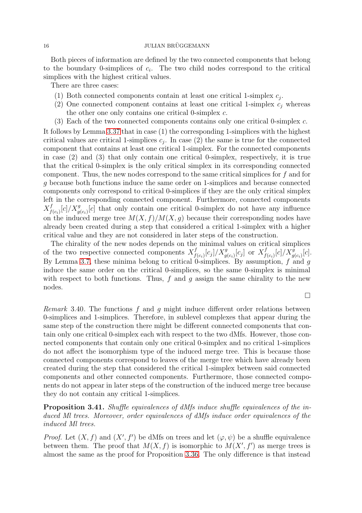Both pieces of information are defined by the two connected components that belong to the boundary 0-simplices of  $c_i$ . The two child nodes correspond to the critical simplices with the highest critical values.

There are three cases:

- (1) Both connected components contain at least one critical 1-simplex  $c_j$ .
- (2) One connected component contains at least one critical 1-simplex  $c_j$  whereas the other one only contains one critical 0-simplex c.
- (3) Each of the two connected components contains only one critical 0-simplex c.

It follows by Lemma [3.37](#page-13-0) that in case (1) the corresponding 1-simplices with the highest critical values are critical 1-simplices  $c_j$ . In case (2) the same is true for the connected component that contains at least one critical 1-simplex. For the connected components in case (2) and (3) that only contain one critical 0-simplex, respectively, it is true that the critical 0-simplex is the only critical simplex in its corresponding connected component. Thus, the new nodes correspond to the same critical simplices for f and for g because both functions induce the same order on 1-simplices and because connected components only correspond to critical 0-simplices if they are the only critical simplex left in the corresponding connected component. Furthermore, connected components  $X_f^f$  $f_{(c_i)}[c]/X_{g(c_i)}^g[c]$  that only contain one critical 0-simplex do not have any influence on the induced merge tree  $M(X, f)/M(X, g)$  because their corresponding nodes have already been created during a step that considered a critical 1-simplex with a higher critical value and they are not considered in later steps of the construction.

The chirality of the new nodes depends on the minimal values on critical simplices of the two respective connected components  $X_f^f$  $f_{f(c_i)}[c_j]/X^g_{g(c_i)}[c_j]$  or  $X^f_f$  $f_{f(c_i)}[c]/X^g_{g(c_i)}[c].$ By Lemma [3.7,](#page-5-1) these minima belong to critical 0-simplices. By assumption,  $f$  and  $g$ induce the same order on the critical 0-simplices, so the same 0-simplex is minimal with respect to both functions. Thus,  $f$  and  $g$  assign the same chirality to the new nodes.

 $\Box$ 

*Remark* 3.40. The functions f and q might induce different order relations between 0-simplices and 1-simplices. Therefore, in sublevel complexes that appear during the same step of the construction there might be different connected components that contain only one critical 0-simplex each with respect to the two dMfs. However, those connected components that contain only one critical 0-simplex and no critical 1-simplices do not affect the isomorphism type of the induced merge tree. This is because those connected components correspond to leaves of the merge tree which have already been created during the step that considered the critical 1-simplex between said connected components and other connected components. Furthermore, those connected components do not appear in later steps of the construction of the induced merge tree because they do not contain any critical 1-simplices.

<span id="page-15-0"></span>Proposition 3.41. Shuffle equivalences of dMfs induce shuffle equivalences of the induced Ml trees. Moreover, order equivalences of dMfs induce order equivalences of the induced Ml trees.

*Proof.* Let  $(X, f)$  and  $(X', f')$  be dMfs on trees and let  $(\varphi, \psi)$  be a shuffle equivalence between them. The proof that  $M(X, f)$  is isomorphic to  $M(X', f')$  as merge trees is almost the same as the proof for Proposition [3.36.](#page-13-1) The only difference is that instead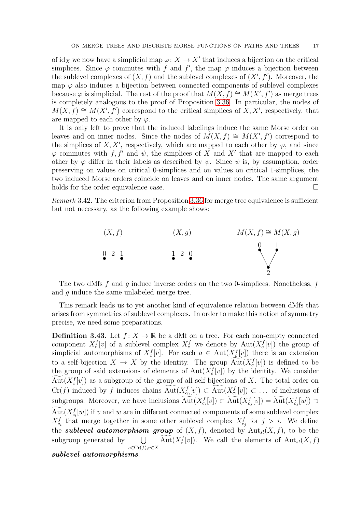of id<sub>X</sub> we now have a simplicial map  $\varphi: X \to X'$  that induces a bijection on the critical simplices. Since  $\varphi$  commutes with f and f', the map  $\varphi$  induces a bijection between the sublevel complexes of  $(X, f)$  and the sublevel complexes of  $(X', f')$ . Moreover, the map  $\varphi$  also induces a bijection between connected components of sublevel complexes because  $\varphi$  is simplicial. The rest of the proof that  $M(X, f) \cong M(X', f')$  as merge trees is completely analogous to the proof of Proposition [3.36.](#page-13-1) In particular, the nodes of  $M(X, f) \cong M(X', f')$  correspond to the critical simplices of  $X, X'$ , respectively, that are mapped to each other by  $\varphi$ .

It is only left to prove that the induced labelings induce the same Morse order on leaves and on inner nodes. Since the nodes of  $\widetilde{M}(X,f) \cong M(X',f')$  correspond to the simplices of X, X', respectively, which are mapped to each other by  $\varphi$ , and since  $\varphi$  commutes with f, f' and  $\psi$ , the simplices of X and X' that are mapped to each other by  $\varphi$  differ in their labels as described by  $\psi$ . Since  $\psi$  is, by assumption, order preserving on values on critical 0-simplices and on values on critical 1-simplices, the two induced Morse orders coincide on leaves and on inner nodes. The same argument holds for the order equivalence case.

Remark 3.42. The criterion from Proposition [3.36](#page-13-1) for merge tree equivalence is sufficient but not necessary, as the following example shows:



The two dMfs  $f$  and  $g$  induce inverse orders on the two 0-simplices. Nonetheless,  $f$ and g induce the same unlabeled merge tree.

This remark leads us to yet another kind of equivalence relation between dMfs that arises from symmetries of sublevel complexes. In order to make this notion of symmetry precise, we need some preparations.

<span id="page-16-0"></span>**Definition 3.43.** Let  $f: X \to \mathbb{R}$  be a dMf on a tree. For each non-empty connected component  $X_c^f[v]$  of a sublevel complex  $X_c^f$  we denote by  $\text{Aut}(X_c^f[v])$  the group of simplicial automorphisms of  $X_c^f[v]$ . For each  $a \in Aut(X_c^f[v])$  there is an extension to a self-bijection  $X \to X$  by the identity. The group  $\text{Aut}(X_c^f[v])$  is defined to be the group of said extensions of elements of  $Aut(X_c^f[v])$  by the identity. We consider  $Aut(X_c^f[v])$  as a subgroup of the group of all self-bijections of X. The total order on  $Cr(f)$  induced by f induces chains  $Aut(X_{c_0}^f[v]) \subset Aut(X_{c_1}^f[v]) \subset \ldots$  of inclusions of subgroups. Moreover, we have inclusions  $Aut(X_{c_i}^f[v]) \subset Aut(X_{c_j}^f[v]) = Aut(X_{c_j}^f[w]) \supset$  $\text{Aut}(X^f_{c_i}[w])$  if v and w are in different connected components of some sublevel complex  $X_{c_i}^f$  that merge together in some other sublevel complex  $X_{c_j}^f$  for  $j > i$ . We define the **sublevel automorphism group** of  $(X, f)$ , denoted by  $\text{Aut}_{sl}(X, f)$ , to be the subgroup generated by  $\bigcup_{c \in \mathrm{Cr}(f), v \in X}$ Aut $(X_c^f[v])$ . We call the elements of  ${\rm Aut}_{sl}(X, f)$ sublevel automorphisms.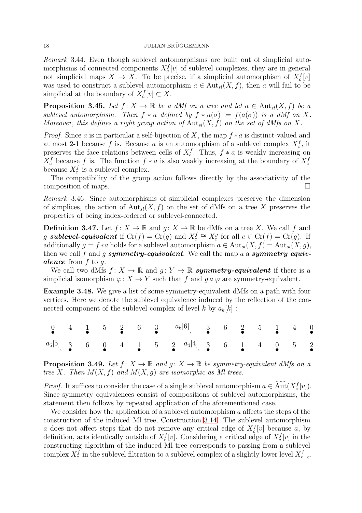Remark 3.44. Even though sublevel automorphisms are built out of simplicial automorphisms of connected components  $X_c^f[v]$  of sublevel complexes, they are in general not simplicial maps  $X \to X$ . To be precise, if a simplicial automorphism of  $X_c^f[v]$ was used to construct a sublevel automorphism  $a \in Aut_{sl}(X, f)$ , then a will fail to be simplicial at the boundary of  $X_c^f[v] \subset X$ .

**Proposition 3.45.** Let  $f: X \to \mathbb{R}$  be a dMf on a tree and let  $a \in Aut_{sl}(X, f)$  be a sublevel automorphism. Then  $f * a$  defined by  $f * a(\sigma) := f(a(\sigma))$  is a dMf on X. Moreover, this defines a right group action of  ${\rm Aut}_{sl}(X, f)$  on the set of dMfs on X.

*Proof.* Since a is in particular a self-bijection of X, the map  $f * a$  is distinct-valued and at most 2-1 because f is. Because a is an automorphism of a sublevel complex  $X_c^f$ , it preserves the face relations between cells of  $X_c^f$ . Thus,  $f * a$  is weakly increasing on  $X_c^f$  because f is. The function  $f * a$  is also weakly increasing at the boundary of  $X_c^f$ because  $X_c^f$  is a sublevel complex.

The compatibility of the group action follows directly by the associativity of the composition of maps.

Remark 3.46. Since automorphisms of simplicial complexes preserve the dimension of simplices, the action of  ${\rm Aut}_{sl}(X, f)$  on the set of dMfs on a tree X preserves the properties of being index-ordered or sublevel-connected.

**Definition 3.47.** Let  $f: X \to \mathbb{R}$  and  $g: X \to \mathbb{R}$  be dMfs on a tree X. We call f and g **sublevel-equivalent** if  $Cr(f) = Cr(g)$  and  $X_c^f \cong X_c^g$  for all  $c \in Cr(f) = Cr(g)$ . If additionally  $g = f * a$  holds for a sublevel automorphism  $a \in Aut_{sl}(X, f) = Aut_{sl}(X, g)$ , then we call f and g symmetry-equivalent. We call the map  $a$  a symmetry equiv**alence** from  $f$  to  $g$ .

We call two dMfs  $f: X \to \mathbb{R}$  and  $q: Y \to \mathbb{R}$  symmetry-equivalent if there is a simplicial isomorphism  $\varphi: X \to Y$  such that f and  $g \circ \varphi$  are symmetry-equivalent.

<span id="page-17-1"></span>Example 3.48. We give a list of some symmetry-equivalent dMfs on a path with four vertices. Here we denote the sublevel equivalence induced by the reflection of the connected component of the sublevel complex of level k by  $a_k[k]$ :

|  |  |  | $\begin{array}{ccccccccccccc}\n0 & 4 & 1 & 5 & 2 & 6 & 3 & & a_6[6] & & 3 & 6 & 2 & 5 & 1 & 4 & 0 \\ \hline\n\end{array}$ |  |  |  |  |
|--|--|--|---------------------------------------------------------------------------------------------------------------------------|--|--|--|--|
|  |  |  |                                                                                                                           |  |  |  |  |

<span id="page-17-0"></span>**Proposition 3.49.** Let  $f: X \to \mathbb{R}$  and  $q: X \to \mathbb{R}$  be symmetry-equivalent dMfs on a tree X. Then  $M(X, f)$  and  $M(X, g)$  are isomorphic as Ml trees.

*Proof.* It suffices to consider the case of a single sublevel automorphism  $a \in Aut(X_c^f[v])$ . Since symmetry equivalences consist of compositions of sublevel automorphisms, the statement then follows by repeated application of the aforementioned case.

We consider how the application of a sublevel automorphism  $a$  affects the steps of the construction of the induced Ml tree, Construction [3.14.](#page-6-0) The sublevel automorphism a does not affect steps that do not remove any critical edge of  $X_c^f[v]$  because a, by definition, acts identically outside of  $X_c^f[v]$ . Considering a critical edge of  $X_c^f[v]$  in the constructing algorithm of the induced Ml tree corresponds to passing from a sublevel complex  $X_c^f$  in the sublevel filtration to a sublevel complex of a slightly lower level  $X_c^f$  $\frac{J}{c-\varepsilon}$ .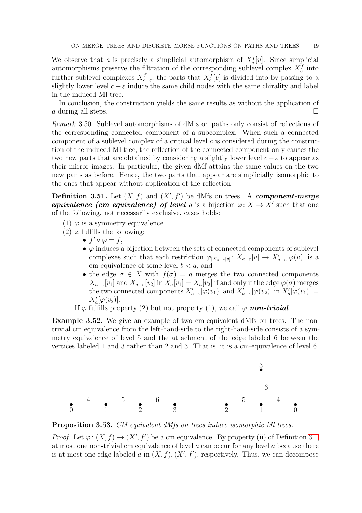We observe that a is precisely a simplicial automorphism of  $X_c^f[v]$ . Since simplicial automorphisms preserve the filtration of the corresponding sublevel complex  $X_c^f$  into further sublevel complexes  $X_c^f$  $c_{c-\epsilon}$ , the parts that  $X_c^f[v]$  is divided into by passing to a slightly lower level  $c - \varepsilon$  induce the same child nodes with the same chirality and label in the induced Ml tree.

In conclusion, the construction yields the same results as without the application of a during all steps.  $\Box$ 

Remark 3.50. Sublevel automorphisms of dMfs on paths only consist of reflections of the corresponding connected component of a subcomplex. When such a connected component of a sublevel complex of a critical level  $c$  is considered during the construction of the induced Ml tree, the reflection of the connected component only causes the two new parts that are obtained by considering a slightly lower level  $c - \varepsilon$  to appear as their mirror images. In particular, the given dMf attains the same values on the two new parts as before. Hence, the two parts that appear are simplicially isomorphic to the ones that appear without application of the reflection.

<span id="page-18-0"></span>**Definition 3.51.** Let  $(X, f)$  and  $(X', f')$  be dMfs on trees. A *component-merge* equivalence (cm equivalence) of level a is a bijection  $\varphi: X \to X'$  such that one of the following, not necessarily exclusive, cases holds:

- (1)  $\varphi$  is a symmetry equivalence.
- (2)  $\varphi$  fulfills the following:
	- $f' \circ \varphi = f$ ,
	- $\varphi$  induces a bijection between the sets of connected components of sublevel complexes such that each restriction  $\varphi_{X_{a-\varepsilon}[v]}: X_{a-\varepsilon}[v] \to X'_{a-\varepsilon}[\varphi(v)]$  is a cm equivalence of some level  $b < a$ , and
	- the edge  $\sigma \in X$  with  $f(\sigma) = a$  merges the two connected components  $X_{a-\varepsilon}[v_1]$  and  $X_{a-\varepsilon}[v_2]$  in  $X_a[v_1] = X_a[v_2]$  if and only if the edge  $\varphi(\sigma)$  merges the two connected components  $X'_{a-\varepsilon}[\varphi(v_1)]$  and  $X'_{a-\varepsilon}[\varphi(v_2)]$  in  $X'_a[\varphi(v_1)] =$  $X'_a[\varphi(v_2)].$
	- If  $\varphi$  fulfills property (2) but not property (1), we call  $\varphi$  non-trivial.

Example 3.52. We give an example of two cm-equivalent dMfs on trees. The nontrivial cm equivalence from the left-hand-side to the right-hand-side consists of a symmetry equivalence of level 5 and the attachment of the edge labeled 6 between the vertices labeled 1 and 3 rather than 2 and 3. That is, it is a cm-equivalence of level 6.



<span id="page-18-1"></span>Proposition 3.53. CM equivalent dMfs on trees induce isomorphic Ml trees.

*Proof.* Let  $\varphi: (X, f) \to (X', f')$  be a cm equivalence. By property (ii) of Definition [3.1,](#page-4-2) at most one non-trivial cm equivalence of level a can occur for any level a because there is at most one edge labeled a in  $(X, f), (X', f')$ , respectively. Thus, we can decompose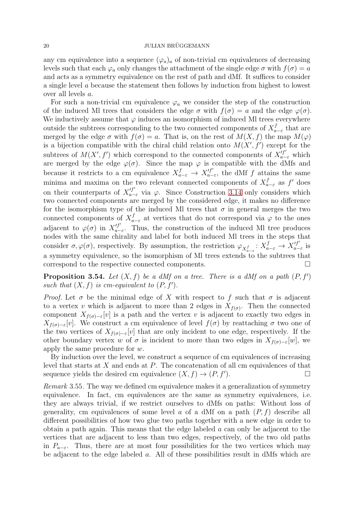## 20 JULIAN BRÜGGEMANN

any cm equivalence into a sequence  $(\varphi_a)_a$  of non-trivial cm equivalences of decreasing levels such that each  $\varphi_a$  only changes the attachment of the single edge  $\sigma$  with  $f(\sigma) = a$ and acts as a symmetry equivalence on the rest of path and dMf. It suffices to consider a single level a because the statement then follows by induction from highest to lowest over all levels a.

For such a non-trivial cm equivalence  $\varphi_a$  we consider the step of the construction of the induced Ml trees that considers the edge  $\sigma$  with  $f(\sigma) = a$  and the edge  $\varphi(\sigma)$ . We inductively assume that  $\varphi$  induces an isomorphism of induced MI trees everywhere outside the subtrees corresponding to the two connected components of  $X_a^f$  $a_{-\varepsilon}^{J}$  that are merged by the edge  $\sigma$  with  $f(\sigma) = a$ . That is, on the rest of  $M(X, f)$  the map  $M(\varphi)$ is a bijection compatible with the chiral child relation onto  $M(X', f')$  except for the subtrees of  $M(X', f')$  which correspond to the connected components of  $X'^{f'}_{a-\varepsilon}$  which are merged by the edge  $\varphi(\sigma)$ . Since the map  $\varphi$  is compatible with the dMfs and because it restricts to a cm equivalence  $X_{a-\varepsilon}^f \to X_{a-}^{'f'}$  $\int_{a-\epsilon}^{f} f(t) dt$  attains the same minima and maxima on the two relevant connected components of  $X_{a-\varepsilon}^f$  as f' does on their counterparts of  $X'^{f'}_{a-\varepsilon}$  via  $\varphi$ . Since Construction [3.14](#page-6-0) only considers which two connected components are merged by the considered edge, it makes no difference for the isomorphism type of the induced Ml trees that  $\sigma$  in general merges the two connected components of  $X_{a-\varepsilon}^f$  at vertices that do not correspond via  $\varphi$  to the ones adjacent to  $\varphi(\sigma)$  in  $X_{a-}^{'f'}$  $T_{a-\varepsilon}$ . Thus, the construction of the induced MI tree produces nodes with the same chirality and label for both induced Ml trees in the steps that consider  $\sigma, \varphi(\sigma)$ , respectively. By assumption, the restriction  $\varphi_{X_{a-\varepsilon}^f}: X_{a-\varepsilon}^f \to X_{a-\varepsilon}^{'f'}$  $\int_{a-\epsilon}^{J}$  is a symmetry equivalence, so the isomorphism of Ml trees extends to the subtrees that correspond to the respective connected components.

<span id="page-19-0"></span>**Proposition 3.54.** Let  $(X, f)$  be a dMf on a tree. There is a dMf on a path  $(P, f')$ such that  $(X, f)$  is cm-equivalent to  $(P, f')$ .

*Proof.* Let  $\sigma$  be the minimal edge of X with respect to f such that  $\sigma$  is adjacent to a vertex v which is adjacent to more than 2 edges in  $X_{f(\sigma)}$ . Then the connected component  $X_{f(\sigma)-\varepsilon}[v]$  is a path and the vertex v is adjacent to exactly two edges in  $X_{f(\sigma)-\varepsilon}[v]$ . We construct a cm equivalence of level  $f(\sigma)$  by reattaching  $\sigma$  two one of the two vertices of  $X_{f(\sigma)-\varepsilon}[v]$  that are only incident to one edge, respectively. If the other boundary vertex w of  $\sigma$  is incident to more than two edges in  $X_{f(\sigma)-\varepsilon}[w]$ , we apply the same procedure for w.

By induction over the level, we construct a sequence of cm equivalences of increasing level that starts at  $X$  and ends at  $P$ . The concatenation of all cm equivalences of that sequence yields the desired cm equivalence  $(X, f) \rightarrow (P, f')$ . ). For  $\Box$ 

Remark 3.55. The way we defined cm equivalence makes it a generalization of symmetry equivalence. In fact, cm equivalences are the same as symmetry equivalences, i.e. they are always trivial, if we restrict ourselves to dMfs on paths: Without loss of generality, cm equivalences of some level a of a dMf on a path  $(P, f)$  describe all different possibilities of how two glue two paths together with a new edge in order to obtain a path again. This means that the edge labeled a can only be adjacent to the vertices that are adjacent to less than two edges, respectively, of the two old paths in  $P_{a-\varepsilon}$ . Thus, there are at most four possibilities for the two vertices which may be adjacent to the edge labeled a. All of these possibilities result in dMfs which are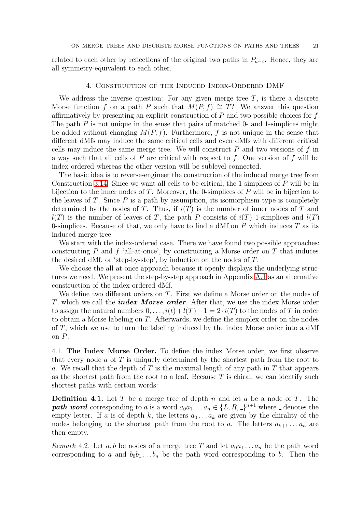<span id="page-20-0"></span>related to each other by reflections of the original two paths in  $P_{a-\epsilon}$ . Hence, they are all symmetry-equivalent to each other.

## 4. Construction of the Induced Index-Ordered DMF

We address the inverse question: For any given merge tree  $T$ , is there a discrete Morse function f on a path P such that  $M(P, f) \cong T$ ? We answer this question affirmatively by presenting an explicit construction of  $P$  and two possible choices for  $f$ . The path  $P$  is not unique in the sense that pairs of matched 0- and 1-simplices might be added without changing  $M(P, f)$ . Furthermore, f is not unique in the sense that different dMfs may induce the same critical cells and even dMfs with different critical cells may induce the same merge tree. We will construct  $P$  and two versions of  $f$  in a way such that all cells of  $P$  are critical with respect to  $f$ . One version of  $f$  will be index-ordered whereas the other version will be sublevel-connected.

The basic idea is to reverse-engineer the construction of the induced merge tree from Construction [3.14.](#page-6-0) Since we want all cells to be critical, the 1-simplices of P will be in bijection to the inner nodes of T. Moreover, the 0-simplices of P will be in bijection to the leaves of  $T$ . Since  $P$  is a path by assumption, its isomorphism type is completely determined by the nodes of T. Thus, if  $i(T)$  is the number of inner nodes of T and  $l(T)$  is the number of leaves of T, the path P consists of  $i(T)$  1-simplices and  $l(T)$ 0-simplices. Because of that, we only have to find a dMf on  $P$  which induces  $T$  as its induced merge tree.

We start with the index-ordered case. There we have found two possible approaches: constructing P and f 'all-at-once', by constructing a Morse order on T that induces the desired dMf, or 'step-by-step', by induction on the nodes of T.

We choose the all-at-once approach because it openly displays the underlying structures we need. We present the step-by-step approach in Appendix [A.1](#page-42-0) as an alternative construction of the index-ordered dMf.

We define two different orders on T. First we define a Morse order on the nodes of T, which we call the *index Morse order*. After that, we use the index Morse order to assign the natural numbers  $0, \ldots, i(t) + l(T) - 1 = 2 \cdot i(T)$  to the nodes of T in order to obtain a Morse labeling on T. Afterwards, we define the simplex order on the nodes of T, which we use to turn the labeling induced by the index Morse order into a dMf on P.

<span id="page-20-1"></span>4.1. The Index Morse Order. To define the index Morse order, we first observe that every node  $\alpha$  of  $T$  is uniquely determined by the shortest path from the root to a. We recall that the depth of  $T$  is the maximal length of any path in  $T$  that appears as the shortest path from the root to a leaf. Because  $T$  is chiral, we can identify such shortest paths with certain words:

<span id="page-20-2"></span>**Definition 4.1.** Let T be a merge tree of depth n and let a be a node of T. The **path word** corresponding to a is a word  $a_0a_1 \ldots a_n \in \{L, R, \_\}^{n+1}$  where  $\_\$ denotes the empty letter. If a is of depth k, the letters  $a_0 \ldots a_k$  are given by the chirality of the nodes belonging to the shortest path from the root to a. The letters  $a_{k+1} \ldots a_n$  are then empty.

Remark 4.2. Let a, b be nodes of a merge tree T and let  $a_0a_1 \ldots a_n$  be the path word corresponding to a and  $b_0b_1 \ldots b_n$  be the path word corresponding to b. Then the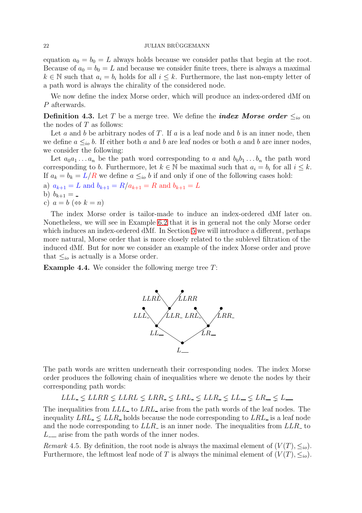## 22 JULIAN BRÜGGEMANN

equation  $a_0 = b_0 = L$  always holds because we consider paths that begin at the root. Because of  $a_0 = b_0 = L$  and because we consider finite trees, there is always a maximal  $k \in \mathbb{N}$  such that  $a_i = b_i$  holds for all  $i \leq k$ . Furthermore, the last non-empty letter of a path word is always the chirality of the considered node.

<span id="page-21-0"></span>We now define the index Morse order, which will produce an index-ordered dMf on P afterwards.

**Definition 4.3.** Let T be a merge tree. We define the *index Morse order*  $\leq_{io}$  on the nodes of  $T$  as follows:

Let a and b be arbitrary nodes of T. If a is a leaf node and b is an inner node, then we define  $a \leq_{io} b$ . If either both a and b are leaf nodes or both a and b are inner nodes, we consider the following:

Let  $a_0a_1 \ldots a_n$  be the path word corresponding to a and  $b_0b_1 \ldots b_n$  the path word corresponding to b. Furthermore, let  $k \in \mathbb{N}$  be maximal such that  $a_i = b_i$  for all  $i \leq k$ . If  $a_k = b_k = L/R$  we define  $a \leq_{io} b$  if and only if one of the following cases hold:

a)  $a_{k+1} = L$  and  $b_{k+1} = R/a_{k+1} = R$  and  $b_{k+1} = L$ 

b) 
$$
b_{k+1} =
$$

c) 
$$
a = b \Leftrightarrow k = n
$$

The index Morse order is tailor-made to induce an index-ordered dMf later on. Nonetheless, we will see in Example [6.2](#page-32-1) that it is in general not the only Morse order which induces an index-ordered dMf. In Section [5](#page-30-0) we will introduce a different, perhaps more natural, Morse order that is more closely related to the sublevel filtration of the induced dMf. But for now we consider an example of the index Morse order and prove that  $\leq_{io}$  is actually is a Morse order.

<span id="page-21-1"></span>**Example 4.4.** We consider the following merge tree  $T$ :



The path words are written underneath their corresponding nodes. The index Morse order produces the following chain of inequalities where we denote the nodes by their corresponding path words:

$$
LLL_{\text{+}} \leq LLRR \leq LLRL \leq LRR_{\text{+}} \leq LRL_{\text{+}} \leq LLR_{\text{+}} \leq LL_{\text{+}} \leq LR_{\text{+}} \leq L_{\text{+}}
$$

The inequalities from LLL to LRL arise from the path words of the leaf nodes. The inequality  $LRL \leq LLR$  holds because the node corresponding to  $LRL$  is a leaf node and the node corresponding to  $LLR$  is an inner node. The inequalities from  $LLR$  to  $L_{\perp}$  arise from the path words of the inner nodes.

<span id="page-21-2"></span>Remark 4.5. By definition, the root node is always the maximal element of  $(V(T), \leq_{io})$ . Furthermore, the leftmost leaf node of T is always the minimal element of  $(V(T), \leq_{io})$ .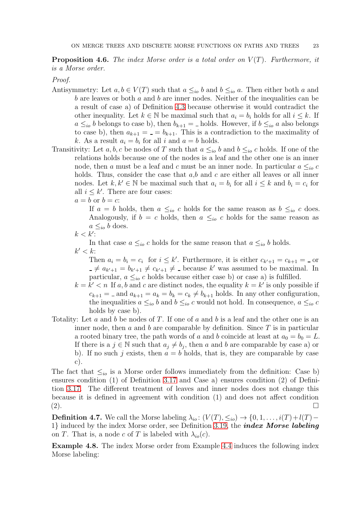**Proposition 4.6.** The index Morse order is a total order on  $V(T)$ . Furthermore, it is a Morse order.

## Proof.

- Antisymmetry: Let  $a, b \in V(T)$  such that  $a \leq_{io} b$  and  $b \leq_{io} a$ . Then either both a and b are leaves or both  $a$  and  $b$  are inner nodes. Neither of the inequalities can be a result of case a) of Definition [4.3](#page-21-0) because otherwise it would contradict the other inequality. Let  $k \in \mathbb{N}$  be maximal such that  $a_i = b_i$  holds for all  $i \leq k$ . If  $a \leq_{io} b$  belongs to case b), then  $b_{k+1} =$  holds. However, if  $b \leq_{io} a$  also belongs to case b), then  $a_{k+1} = -b_{k+1}$ . This is a contradiction to the maximality of k. As a result  $a_i = b_i$  for all i and  $a = b$  holds.
- Transitivity: Let a, b, c be nodes of T such that  $a \leq_{io} b$  and  $b \leq_{io} c$  holds. If one of the relations holds because one of the nodes is a leaf and the other one is an inner node, then a must be a leaf and c must be an inner node. In particular  $a \leq_{io} c$ holds. Thus, consider the case that  $a,b$  and  $c$  are either all leaves or all inner nodes. Let  $k, k' \in \mathbb{N}$  be maximal such that  $a_i = b_i$  for all  $i \leq k$  and  $b_i = c_i$  for all  $i \leq k'$ . There are four cases:
	- $a = b$  or  $b = c$ :

If  $a = b$  holds, then  $a \leq_{io} c$  holds for the same reason as  $b \leq_{io} c$  does. Analogously, if  $b = c$  holds, then  $a \leq_{io} c$  holds for the same reason as  $a \leq_{io} b$  does.

$$
k < k'.
$$

In that case  $a \leq_{io} c$  holds for the same reason that  $a \leq_{io} b$  holds.  $k' < k$ :

Then  $a_i = b_i = c_i$  for  $i \leq k'$ . Furthermore, it is either  $c_{k'+1} = c_{k+1} = c$  or  $\neq a_{k'+1} = b_{k'+1} \neq c_{k'+1} \neq 0$  because k' was assumed to be maximal. In particular,  $a \leq_{io} c$  holds because either case b) or case a) is fulfilled.

- $k = k' < n$  If a, b and c are distinct nodes, the equality  $k = k'$  is only possible if  $c_{k+1}$  =  $\Delta$  and  $a_{k+1} = a_k = b_k = c_k \neq b_{k+1}$  holds. In any other configuration, the inequalities  $a \leq_{io} b$  and  $b \leq_{io} c$  would not hold. In consequence,  $a \leq_{io} c$ holds by case b).
- Totality: Let a and b be nodes of T. If one of a and b is a leaf and the other one is an inner node, then a and b are comparable by definition. Since  $T$  is in particular a rooted binary tree, the path words of a and b coincide at least at  $a_0 = b_0 = L$ . If there is a  $j \in \mathbb{N}$  such that  $a_j \neq b_j$ , then a and b are comparable by case a) or b). If no such j exists, then  $a = b$  holds, that is, they are comparable by case c).

The fact that  $\leq_{io}$  is a Morse order follows immediately from the definition: Case b) ensures condition (1) of Definition [3.17](#page-7-0) and Case a) ensures condition (2) of Definition [3.17.](#page-7-0) The different treatment of leaves and inner nodes does not change this because it is defined in agreement with condition (1) and does not affect condition  $(2).$ 

<span id="page-22-0"></span>**Definition 4.7.** We call the Morse labeling  $\lambda_{io}$ :  $(V(T), \leq_{io}) \rightarrow \{0, 1, \ldots, i(T) + l(T) -$ 1} induced by the index Morse order, see Definition [3.19,](#page-7-1) the *index Morse labeling* on T. That is, a node c of T is labeled with  $\lambda_{io}(c)$ .

<span id="page-22-1"></span>Example 4.8. The index Morse order from Example [4.4](#page-21-1) induces the following index Morse labeling: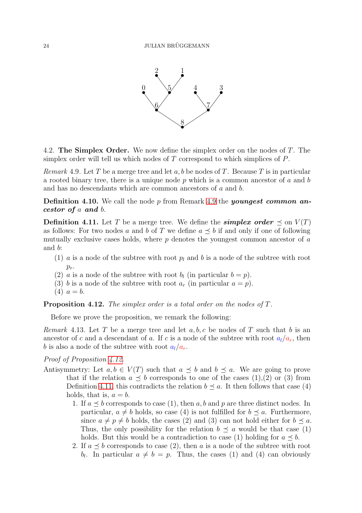

<span id="page-23-2"></span><span id="page-23-0"></span>4.2. The Simplex Order. We now define the simplex order on the nodes of T. The simplex order will tell us which nodes of  $T$  correspond to which simplices of  $P$ .

Remark 4.9. Let T be a merge tree and let a, b be nodes of T. Because T is in particular a rooted binary tree, there is a unique node  $p$  which is a common ancestor of  $a$  and  $b$ and has no descendants which are common ancestors of a and b.

**Definition 4.10.** We call the node p from Remark [4.9](#page-23-2) the *youngest common an*cestor of a and b.

<span id="page-23-1"></span>**Definition 4.11.** Let T be a merge tree. We define the **simplex order**  $\preceq$  on  $V(T)$ as follows: For two nodes a and b of T we define  $a \preceq b$  if and only if one of following mutually exclusive cases holds, where  $p$  denotes the youngest common ancestor of  $a$ and b:

- (1) a is a node of the subtree with root  $p_l$  and b is a node of the subtree with root  $p_r$ .
- (2) a is a node of the subtree with root  $b_l$  (in particular  $b = p$ ).
- (3) b is a node of the subtree with root  $a_r$  (in particular  $a = p$ ).
- $(4) a = b.$

<span id="page-23-3"></span>Proposition 4.12. The simplex order is a total order on the nodes of T.

<span id="page-23-4"></span>Before we prove the proposition, we remark the following:

Remark 4.13. Let T be a merge tree and let  $a, b, c$  be nodes of T such that b is an ancestor of c and a descendant of a. If c is a node of the subtree with root  $a_l/a_r$ , then b is also a node of the subtree with root  $a_l/a_r$ .

Proof of Proposition [4.12.](#page-23-3)

- Antisymmetry: Let  $a, b \in V(T)$  such that  $a \preceq b$  and  $b \preceq a$ . We are going to prove that if the relation  $a \preceq b$  corresponds to one of the cases (1),(2) or (3) from Definition [4.11,](#page-23-1) this contradicts the relation  $b \preceq a$ . It then follows that case (4) holds, that is,  $a = b$ .
	- 1. If  $a \prec b$  corresponds to case (1), then a, b and p are three distinct nodes. In particular,  $a \neq b$  holds, so case (4) is not fulfilled for  $b \prec a$ . Furthermore, since  $a \neq p \neq b$  holds, the cases (2) and (3) can not hold either for  $b \preceq a$ . Thus, the only possibility for the relation  $b \preceq a$  would be that case (1) holds. But this would be a contradiction to case (1) holding for  $a \preceq b$ .
	- 2. If  $a \preceq b$  corresponds to case (2), then a is a node of the subtree with root  $b_l$ . In particular  $a \neq b = p$ . Thus, the cases (1) and (4) can obviously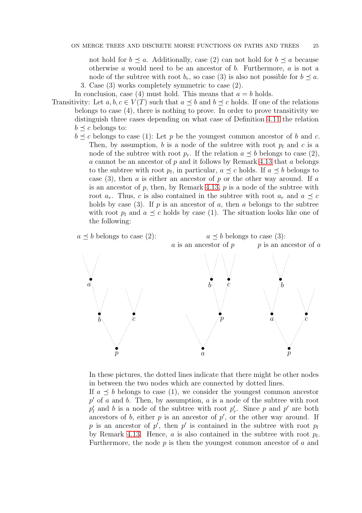not hold for  $b \preceq a$ . Additionally, case (2) can not hold for  $b \preceq a$  because otherwise a would need to be an ancestor of  $b$ . Furthermore,  $a$  is not a node of the subtree with root  $b_r$ , so case (3) is also not possible for  $b \preceq a$ . 3. Case (3) works completely symmetric to case (2).

In conclusion, case (4) must hold. This means that  $a = b$  holds.

- Transitivity: Let  $a, b, c \in V(T)$  such that  $a \preceq b$  and  $b \preceq c$  holds. If one of the relations belongs to case (4), there is nothing to prove. In order to prove transitivity we distinguish three cases depending on what case of Definition [4.11](#page-23-1) the relation  $b \preceq c$  belongs to:
	- $b \preceq c$  belongs to case (1): Let p be the youngest common ancestor of b and c. Then, by assumption, b is a node of the subtree with root  $p_l$  and c is a node of the subtree with root  $p_r$ . If the relation  $a \preceq b$  belongs to case (2), a cannot be an ancestor of  $p$  and it follows by Remark [4.13](#page-23-4) that a belongs to the subtree with root  $p_l$ , in particular,  $a \preceq c$  holds. If  $a \preceq b$  belongs to case  $(3)$ , then a is either an ancestor of p or the other way around. If a is an ancestor of  $p$ , then, by Remark [4.13,](#page-23-4)  $p$  is a node of the subtree with root  $a_r$ . Thus, c is also contained in the subtree with root  $a_r$  and  $a \preceq c$ holds by case (3). If p is an ancestor of a, then a belongs to the subtree with root  $p_l$  and  $a \preceq c$  holds by case (1). The situation looks like one of the following:



In these pictures, the dotted lines indicate that there might be other nodes in between the two nodes which are connected by dotted lines.

If  $a \preceq b$  belongs to case (1), we consider the youngest common ancestor  $p'$  of a and b. Then, by assumption, a is a node of the subtree with root  $p'_l$  and b is a node of the subtree with root  $p'_r$ . Since p and p' are both ancestors of  $b$ , either  $p$  is an ancestor of  $p'$ , or the other way around. If p is an ancestor of p', then p' is contained in the subtree with root  $p_l$ by Remark [4.13.](#page-23-4) Hence,  $a$  is also contained in the subtree with root  $p_l$ . Furthermore, the node  $p$  is then the youngest common ancestor of  $a$  and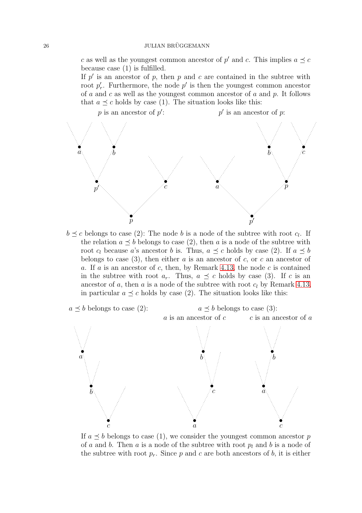c as well as the youngest common ancestor of  $p'$  and c. This implies  $a \preceq c$ because case (1) is fulfilled.

If  $p'$  is an ancestor of p, then p and c are contained in the subtree with root  $p'_r$ . Furthermore, the node  $p'$  is then the youngest common ancestor of  $a$  and  $c$  as well as the youngest common ancestor of  $a$  and  $p$ . It follows that  $a \preceq c$  holds by case (1). The situation looks like this:



 $b \preceq c$  belongs to case (2): The node b is a node of the subtree with root  $c_l$ . If the relation  $a \preceq b$  belongs to case (2), then a is a node of the subtree with root  $c_l$  because a's ancestor b is. Thus,  $a \preceq c$  holds by case (2). If  $a \preceq b$ belongs to case (3), then either a is an ancestor of c, or c an ancestor of a. If a is an ancestor of c, then, by Remark [4.13,](#page-23-4) the node c is contained in the subtree with root  $a_r$ . Thus,  $a \preceq c$  holds by case (3). If c is an ancestor of a, then a is a node of the subtree with root  $c_l$  by Remark [4.13,](#page-23-4) in particular  $a \preceq c$  holds by case (2). The situation looks like this:



If  $a \preceq b$  belongs to case (1), we consider the youngest common ancestor p of a and b. Then a is a node of the subtree with root  $p_l$  and b is a node of the subtree with root  $p_r$ . Since p and c are both ancestors of b, it is either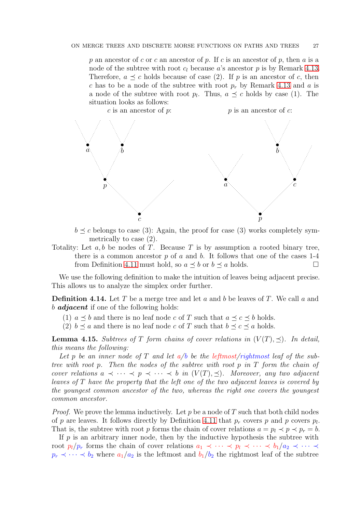p an ancestor of c or c an ancestor of p. If c is an ancestor of p, then a is a node of the subtree with root  $c_l$  because a's ancestor p is by Remark [4.13.](#page-23-4) Therefore,  $a \preceq c$  holds because of case (2). If p is an ancestor of c, then c has to be a node of the subtree with root  $p_r$  by Remark [4.13](#page-23-4) and a is a node of the subtree with root  $p_l$ . Thus,  $a \preceq c$  holds by case (1). The situation looks as follows:



 $b \preceq c$  belongs to case (3): Again, the proof for case (3) works completely symmetrically to case (2).

Totality: Let  $a, b$  be nodes of T. Because T is by assumption a rooted binary tree, there is a common ancestor  $p$  of  $a$  and  $b$ . It follows that one of the cases 1-4 from Definition [4.11](#page-23-1) must hold, so  $a \prec b$  or  $b \prec a$  holds.

We use the following definition to make the intuition of leaves being adjacent precise. This allows us to analyze the simplex order further.

**Definition 4.14.** Let T be a merge tree and let a and b be leaves of T. We call a and b **adjacent** if one of the following holds:

- (1)  $a \preceq b$  and there is no leaf node c of T such that  $a \preceq c \preceq b$  holds.
- (2)  $b \preceq a$  and there is no leaf node c of T such that  $b \preceq c \preceq a$  holds.

<span id="page-26-0"></span>**Lemma 4.15.** Subtrees of T form chains of cover relations in  $(V(T), \prec)$ . In detail, this means the following:

Let p be an inner node of T and let  $a/b$  be the leftmost/rightmost leaf of the subtree with root p. Then the nodes of the subtree with root p in  $T$  form the chain of cover relations  $a \prec \cdots \prec p \prec \cdots \prec b$  in  $(V(T), \preceq)$ . Moreover, any two adjacent leaves of T have the property that the left one of the two adjacent leaves is covered by the youngest common ancestor of the two, whereas the right one covers the youngest common ancestor.

*Proof.* We prove the lemma inductively. Let p be a node of T such that both child nodes of p are leaves. It follows directly by Definition [4.11](#page-23-1) that  $p_r$  covers p and p covers  $p_l$ . That is, the subtree with root p forms the chain of cover relations  $a = p_l \prec p \prec p_r = b$ .

If  $p$  is an arbitrary inner node, then by the inductive hypothesis the subtree with root  $p_l/p_r$  forms the chain of cover relations  $a_1 \prec \cdots \prec p_l \prec \cdots \prec b_1/a_2 \prec \cdots \prec$  $p_r \prec \cdots \prec b_2$  where  $a_1/a_2$  is the leftmost and  $b_1/b_2$  the rightmost leaf of the subtree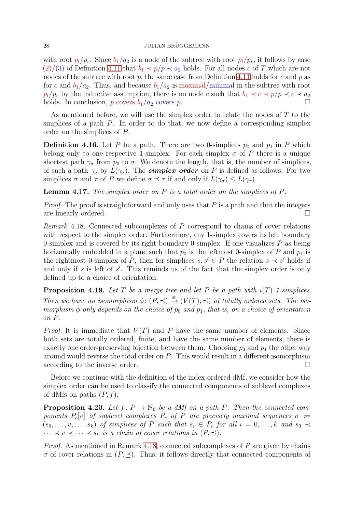#### $28$  JULIAN BRÜGGEMANN

with root  $p_l/p_r$ . Since  $b_l/a_2$  is a node of the subtree with root  $p_l/p_r$ , it follows by case  $(2)/(3)$  of Definition [4.11](#page-23-1) that  $b_1 \prec p/p \prec a_2$  holds. For all nodes c of T which are not nodes of the subtree with root  $p$ , the same case from Definition [4.11](#page-23-1) holds for  $c$  and  $p$  as for c and  $b_1/a_2$ . Thus, and because  $b_1/a_2$  is maximal/minimal in the subtree with root  $p_l/p_r$  by the inductive assumption, there is no node c such that  $b_1 \prec c \prec p/p \prec c \prec a_2$ holds. In conclusion, p covers  $b_1/a_2$  covers p.

As mentioned before, we will use the simplex order to relate the nodes of T to the simplices of a path  $P$ . In order to do that, we now define a corresponding simplex order on the simplices of P.

<span id="page-27-4"></span>**Definition 4.16.** Let P be a path. There are two 0-simplices  $p_0$  and  $p_1$  in P which belong only to one respective 1-simplex. For each simplex  $\sigma$  of P there is a unique shortest path  $\gamma_{\sigma}$  from  $p_0$  to  $\sigma$ . We denote the length, that is, the number of simplices, of such a path  $\gamma_{\sigma}$  by  $L(\gamma_{\sigma})$ . The **simplex order** on P is defined as follows: For two simplices  $\sigma$  and  $\tau$  of P we define  $\sigma \preceq \tau$  if and only if  $L(\gamma_{\sigma}) \leq L(\gamma_{\tau}).$ 

<span id="page-27-0"></span>**Lemma 4.17.** The simplex order on  $P$  is a total order on the simplices of  $P$ .

*Proof.* The proof is straightforward and only uses that  $P$  is a path and that the integers are linearly ordered.

<span id="page-27-2"></span>Remark 4.18. Connected subcomplexes of P correspond to chains of cover relations with respect to the simplex order. Furthermore, any 1-simplex covers its left boundary 0-simplex and is covered by its right boundary 0-simplex. If one visualizes  $P$  as being horizontally embedded in a plane such that  $p_0$  is the leftmost 0-simplex of P and  $p_1$  is the rightmost 0-simplex of P, then for simplices  $s, s' \in P$  the relation  $s \prec s'$  holds if and only if s is left of s'. This reminds us of the fact that the simplex order is only defined up to a choice of orientation.

<span id="page-27-1"></span>**Proposition 4.19.** Let T be a merge tree and let P be a path with  $i(T)$  1-simplices. Then we have an isomorphism  $\phi: (P, \preceq) \stackrel{\cong}{\to} (V(T), \preceq)$  of totally ordered sets. The isomorphism  $\phi$  only depends on the choice of  $p_0$  and  $p_1$ , that is, on a choice of orientation on P.

*Proof.* It is immediate that  $V(T)$  and P have the same number of elements. Since both sets are totally ordered, finite, and have the same number of elements, there is exactly one order-preserving bijection between them. Choosing  $p_0$  and  $p_1$  the other way around would reverse the total order on P. This would result in a different isomorphism according to the inverse order.

Before we continue with the definition of the index-ordered dMf, we consider how the simplex order can be used to classify the connected components of sublevel complexes of dMfs on paths  $(P, f)$ :

<span id="page-27-3"></span>**Proposition 4.20.** Let  $f: P \to \mathbb{N}_0$  be a dMf on a path P. Then the connected components  $P_c[v]$  of sublevel complexes  $P_c$  of P are precisely maximal sequences  $\sigma :=$  $(s_0, \ldots, v, \ldots, s_k)$  of simplices of P such that  $s_i \in P_c$  for all  $i = 0, \ldots, k$  and  $s_0 \prec$  $\cdots \prec v \prec \cdots \prec s_k$  is a chain of cover relations in  $(P, \preceq)$ .

*Proof.* As mentioned in Remark [4.18,](#page-27-2) connected subcomplexes of  $P$  are given by chains  $\sigma$  of cover relations in  $(P, \preceq)$ . Thus, it follows directly that connected components of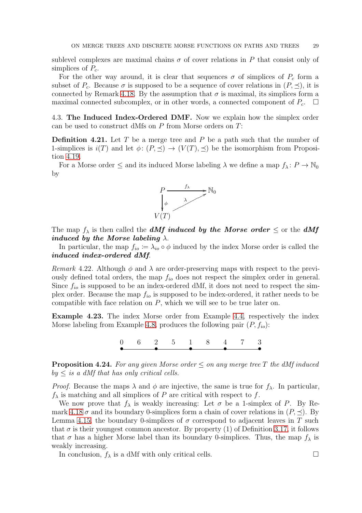sublevel complexes are maximal chains  $\sigma$  of cover relations in P that consist only of simplices of  $P_c$ .

For the other way around, it is clear that sequences  $\sigma$  of simplices of  $P_c$  form a subset of  $P_c$ . Because  $\sigma$  is supposed to be a sequence of cover relations in  $(P, \preceq)$ , it is connected by Remark [4.18.](#page-27-2) By the assumption that  $\sigma$  is maximal, its simplices form a maximal connected subcomplex, or in other words, a connected component of  $P_c$ .  $\Box$ 

<span id="page-28-1"></span><span id="page-28-0"></span>4.3. The Induced Index-Ordered DMF. Now we explain how the simplex order can be used to construct dMfs on  $P$  from Morse orders on  $T$ :

**Definition 4.21.** Let T be a merge tree and P be a path such that the number of 1-simplices is  $i(T)$  and let  $\phi: (P, \preceq) \to (V(T), \preceq)$  be the isomorphism from Proposition [4.19.](#page-27-1)

For a Morse order  $\leq$  and its induced Morse labeling  $\lambda$  we define a map  $f_{\lambda}: P \to \mathbb{N}_0$ by



The map  $f_{\lambda}$  is then called the **dMf** induced by the Morse order  $\leq$  or the **dMf** induced by the Morse labeling  $\lambda$ .

In particular, the map  $f_{io} := \lambda_{io} \circ \phi$  induced by the index Morse order is called the induced index-ordered dMf.

Remark 4.22. Although  $\phi$  and  $\lambda$  are order-preserving maps with respect to the previously defined total orders, the map  $f_{io}$  does not respect the simplex order in general. Since  $f_{io}$  is supposed to be an index-ordered dMf, it does not need to respect the simplex order. Because the map  $f_{io}$  is supposed to be index-ordered, it rather needs to be compatible with face relation on  $P$ , which we will see to be true later on.

Example 4.23. The index Morse order from Example [4.4,](#page-21-1) respectively the index Morse labeling from Example [4.8,](#page-22-1) produces the following pair  $(P, f_{io})$ :

> $\theta$ • 2 • 1 • 4 • 3 • 6 2 5 1 8 4 7

<span id="page-28-2"></span>**Proposition 4.24.** For any given Morse order  $\leq$  on any merge tree T the dMf induced  $by \leq is a \ dMf$  that has only critical cells.

*Proof.* Because the maps  $\lambda$  and  $\phi$  are injective, the same is true for  $f_{\lambda}$ . In particular,  $f_{\lambda}$  is matching and all simplices of P are critical with respect to f.

We now prove that  $f_{\lambda}$  is weakly increasing: Let  $\sigma$  be a 1-simplex of P. By Re-mark [4.18](#page-27-2)  $\sigma$  and its boundary 0-simplices form a chain of cover relations in  $(P, \preceq)$ . By Lemma [4.15,](#page-26-0) the boundary 0-simplices of  $\sigma$  correspond to adjacent leaves in T such that  $\sigma$  is their youngest common ancestor. By property (1) of Definition [3.17,](#page-7-0) it follows that  $\sigma$  has a higher Morse label than its boundary 0-simplices. Thus, the map  $f_{\lambda}$  is weakly increasing.

In conclusion,  $f_{\lambda}$  is a dMf with only critical cells.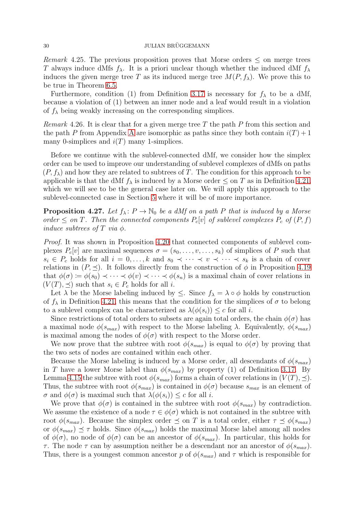#### $30$  JULIAN BRÜGGEMANN

*Remark* 4.25. The previous proposition proves that Morse orders  $\leq$  on merge trees T always induce dMfs  $f_{\lambda}$ . It is a priori unclear though whether the induced dMf  $f_{\lambda}$ induces the given merge tree T as its induced merge tree  $M(P, f_\lambda)$ . We prove this to be true in Theorem [6.5.](#page-34-0)

Furthermore, condition (1) from Definition [3.17](#page-7-0) is necessary for  $f_{\lambda}$  to be a dMf, because a violation of (1) between an inner node and a leaf would result in a violation of  $f_{\lambda}$  being weakly increasing on the corresponding simplices.

*Remark* 4.26. It is clear that for a given merge tree T the path P from this section and the path P from [A](#page-41-0)ppendix A are isomorphic as paths since they both contain  $i(T) + 1$ many 0-simplices and  $i(T)$  many 1-simplices.

Before we continue with the sublevel-connected dMf, we consider how the simplex order can be used to improve our understanding of sublevel complexes of dMfs on paths  $(P, f_\lambda)$  and how they are related to subtrees of T. The condition for this approach to be applicable is that the dMf  $f_{\lambda}$  is induced by a Morse order  $\leq$  on T as in Definition [4.21,](#page-28-1) which we will see to be the general case later on. We will apply this approach to the sublevel-connected case in Section [5](#page-30-0) where it will be of more importance.

<span id="page-29-0"></span>**Proposition 4.27.** Let  $f_{\lambda}$ :  $P \to \mathbb{N}_0$  be a dMf on a path P that is induced by a Morse order  $\leq$  on T. Then the connected components  $P_c[v]$  of sublevel complexes  $P_c$  of  $(P, f)$ induce subtrees of T via  $\phi$ .

Proof. It was shown in Proposition [4.20](#page-27-3) that connected components of sublevel complexes  $P_c[v]$  are maximal sequences  $\sigma = (s_0, \ldots, v, \ldots, s_k)$  of simplices of P such that  $s_i \in P_c$  holds for all  $i = 0, \ldots, k$  and  $s_0 \prec \cdots \prec v \prec \cdots \prec s_k$  is a chain of cover relations in  $(P, \preceq)$ . It follows directly from the construction of  $\phi$  in Proposition [4.19](#page-27-1) that  $\phi(\sigma) := \phi(s_0) \prec \cdots \prec \phi(v) \prec \cdots \prec \phi(s_n)$  is a maximal chain of cover relations in  $(V(T), \prec)$  such that  $s_i \in P_c$  holds for all i.

Let  $\lambda$  be the Morse labeling induced by  $\leq$ . Since  $f_{\lambda} = \lambda \circ \phi$  holds by construction of  $f_{\lambda}$  in Definition [4.21,](#page-28-1) this means that the condition for the simplices of  $\sigma$  to belong to a sublevel complex can be characterized as  $\lambda(\phi(s_i)) \leq c$  for all *i*.

Since restrictions of total orders to subsets are again total orders, the chain  $\phi(\sigma)$  has a maximal node  $\phi(s_{max})$  with respect to the Morse labeling  $\lambda$ . Equivalently,  $\phi(s_{max})$ is maximal among the nodes of  $\phi(\sigma)$  with respect to the Morse order.

We now prove that the subtree with root  $\phi(s_{max})$  is equal to  $\phi(\sigma)$  by proving that the two sets of nodes are contained within each other.

Because the Morse labeling is induced by a Morse order, all descendants of  $\phi(s_{max})$ in T have a lower Morse label than  $\phi(s_{max})$  by property (1) of Definition [3.17.](#page-7-0) By Lemma [4.15](#page-26-0) the subtree with root  $\phi(s_{max})$  forms a chain of cover relations in  $(V(T), \preceq)$ . Thus, the subtree with root  $\phi(s_{max})$  is contained in  $\phi(\sigma)$  because  $s_{max}$  is an element of  $\sigma$  and  $\phi(\sigma)$  is maximal such that  $\lambda(\phi(s_i)) \leq c$  for all *i*.

We prove that  $\phi(\sigma)$  is contained in the subtree with root  $\phi(s_{max})$  by contradiction. We assume the existence of a node  $\tau \in \phi(\sigma)$  which is not contained in the subtree with root  $\phi(s_{max})$ . Because the simplex order  $\preceq$  on T is a total order, either  $\tau \preceq \phi(s_{max})$ or  $\phi(s_{max}) \preceq \tau$  holds. Since  $\phi(s_{max})$  holds the maximal Morse label among all nodes of  $\phi(\sigma)$ , no node of  $\phi(\sigma)$  can be an ancestor of  $\phi(s_{max})$ . In particular, this holds for τ. The node τ can by assumption neither be a descendant nor an ancestor of  $\phi(s_{max})$ . Thus, there is a youngest common ancestor p of  $\phi(s_{max})$  and  $\tau$  which is responsible for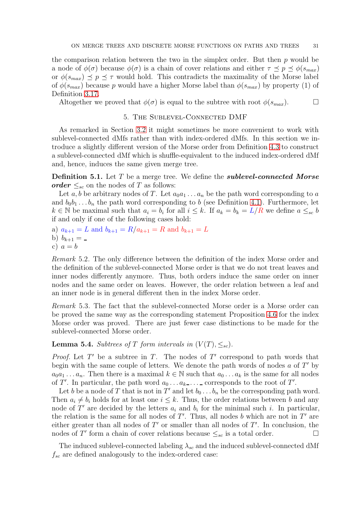the comparison relation between the two in the simplex order. But then  $p$  would be a node of  $\phi(\sigma)$  because  $\phi(\sigma)$  is a chain of cover relations and either  $\tau \preceq p \preceq \phi(s_{max})$ or  $\phi(s_{max}) \preceq p \preceq \tau$  would hold. This contradicts the maximality of the Morse label of  $\phi(s_{max})$  because p would have a higher Morse label than  $\phi(s_{max})$  by property (1) of Definition [3.17.](#page-7-0)

<span id="page-30-0"></span>Altogether we proved that  $\phi(\sigma)$  is equal to the subtree with root  $\phi(s_{max})$ .

## 5. The Sublevel-Connected DMF

As remarked in Section [3.2](#page-11-0) it might sometimes be more convenient to work with sublevel-connected dMfs rather than with index-ordered dMfs. In this section we introduce a slightly different version of the Morse order from Definition [4.3](#page-21-0) to construct a sublevel-connected dMf which is shuffle-equivalent to the induced index-ordered dMf and, hence, induces the same given merge tree.

<span id="page-30-2"></span>**Definition 5.1.** Let T be a merge tree. We define the **sublevel-connected Morse** order  $\leq_{sc}$  on the nodes of T as follows:

Let a, b be arbitrary nodes of T. Let  $a_0a_1 \ldots a_n$  be the path word corresponding to a and  $b_0b_1 \ldots b_n$  the path word corresponding to b (see Definition [4.1\)](#page-20-2). Furthermore, let  $k \in \mathbb{N}$  be maximal such that  $a_i = b_i$  for all  $i \leq k$ . If  $a_k = b_k = L/R$  we define  $a \leq_{sc} b$ if and only if one of the following cases hold:

a)  $a_{k+1} = L$  and  $b_{k+1} = R/a_{k+1} = R$  and  $b_{k+1} = L$ 

b)  $b_{k+1} =$ c)  $a = b$ 

<span id="page-30-4"></span>Remark 5.2. The only difference between the definition of the index Morse order and the definition of the sublevel-connected Morse order is that we do not treat leaves and inner nodes differently anymore. Thus, both orders induce the same order on inner nodes and the same order on leaves. However, the order relation between a leaf and an inner node is in general different then in the index Morse order.

Remark 5.3. The fact that the sublevel-connected Morse order is a Morse order can be proved the same way as the corresponding statement Proposition [4.6](#page-21-2) for the index Morse order was proved. There are just fewer case distinctions to be made for the sublevel-connected Morse order.

<span id="page-30-3"></span>**Lemma 5.4.** Subtrees of T form intervals in  $(V(T), \leq_{sc})$ .

*Proof.* Let  $T'$  be a subtree in  $T$ . The nodes of  $T'$  correspond to path words that begin with the same couple of letters. We denote the path words of nodes  $a$  of  $T'$  by  $a_0a_1 \ldots a_n$ . Then there is a maximal  $k \in \mathbb{N}$  such that  $a_0 \ldots a_k$  is the same for all nodes of T'. In particular, the path word  $a_0 \ldots a_{k-1} \ldots$  corresponds to the root of T'.

Let b be a node of T that is not in T' and let  $b_0 \ldots b_n$  be the corresponding path word. Then  $a_i \neq b_i$  holds for at least one  $i \leq k$ . Thus, the order relations between b and any node of T' are decided by the letters  $a_i$  and  $b_i$  for the minimal such i. In particular, the relation is the same for all nodes of  $T'$ . Thus, all nodes b which are not in  $T'$  are either greater than all nodes of  $T'$  or smaller than all nodes of  $T'$ . In conclusion, the nodes of T' form a chain of cover relations because  $\leq_{sc}$  is a total order.

<span id="page-30-1"></span>The induced sublevel-connected labeling  $\lambda_{sc}$  and the induced sublevel-connected dMf  $f_{sc}$  are defined analogously to the index-ordered case: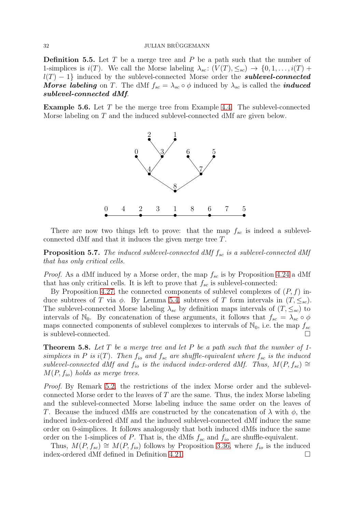**Definition 5.5.** Let  $T$  be a merge tree and  $P$  be a path such that the number of 1-simplices is  $i(T)$ . We call the Morse labeling  $\lambda_{sc}$ :  $(V(T), \leq_{sc}) \rightarrow \{0, 1, \ldots, i(T) +$  $l(T) - 1$  induced by the sublevel-connected Morse order the *sublevel-connected* **Morse labeling** on T. The dMf  $f_{sc} = \lambda_{sc} \circ \phi$  induced by  $\lambda_{sc}$  is called the *induced* sublevel-connected dMf.

**Example 5.6.** Let  $T$  be the merge tree from Example [4.4.](#page-21-1) The sublevel-connected Morse labeling on T and the induced sublevel-connected dMf are given below.



<span id="page-31-0"></span>There are now two things left to prove: that the map  $f_{sc}$  is indeed a sublevelconnected dMf and that it induces the given merge tree T.

**Proposition 5.7.** The induced sublevel-connected dMf  $f_{sc}$  is a sublevel-connected dMf that has only critical cells.

*Proof.* As a dMf induced by a Morse order, the map  $f_{sc}$  is by Proposition [4.24](#page-28-2) a dMf that has only critical cells. It is left to prove that  $f_{sc}$  is sublevel-connected:

By Proposition [4.27,](#page-29-0) the connected components of sublevel complexes of  $(P, f)$  induce subtrees of T via  $\phi$ . By Lemma [5.4,](#page-30-3) subtrees of T form intervals in  $(T, \leq_{sc})$ . The sublevel-connected Morse labeling  $\lambda_{sc}$  by definition maps intervals of  $(T, \leq_{sc})$  to intervals of N<sub>0</sub>. By concatenation of these arguments, it follows that  $f_{sc} = \lambda_{sc} \circ \phi$ maps connected components of sublevel complexes to intervals of  $\mathbb{N}_0$ , i.e. the map  $f_{sc}$ is sublevel-connected.

<span id="page-31-1"></span>**Theorem 5.8.** Let  $T$  be a merge tree and let  $P$  be a path such that the number of 1simplices in P is  $i(T)$ . Then  $f_{io}$  and  $f_{sc}$  are shuffle-equivalent where  $f_{sc}$  is the induced sublevel-connected dMf and  $f_{io}$  is the induced index-ordered dMf. Thus,  $M(P, f_{sc}) \cong$  $M(P, f_{io})$  holds as merge trees.

Proof. By Remark [5.2,](#page-30-4) the restrictions of the index Morse order and the sublevelconnected Morse order to the leaves of  $T$  are the same. Thus, the index Morse labeling and the sublevel-connected Morse labeling induce the same order on the leaves of T. Because the induced dMfs are constructed by the concatenation of  $\lambda$  with  $\phi$ , the induced index-ordered dMf and the induced sublevel-connected dMf induce the same order on 0-simplices. It follows analogously that both induced dMfs induce the same order on the 1-simplices of P. That is, the dMfs  $f_{sc}$  and  $f_{io}$  are shuffle-equivalent.

Thus,  $M(P, f_{sc}) \cong M(P, f_{io})$  follows by Proposition [3.36,](#page-13-1) where  $f_{io}$  is the induced index-ordered dMf defined in Definition [4.21.](#page-28-1)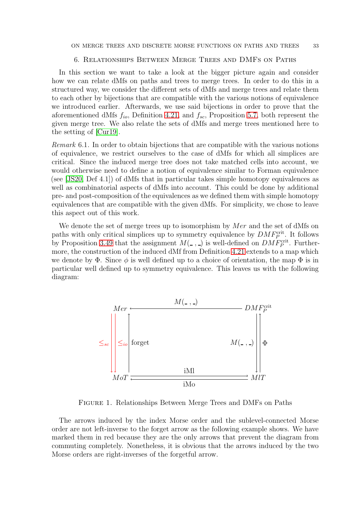## 6. Relationships Between Merge Trees and DMFs on Paths

<span id="page-32-0"></span>In this section we want to take a look at the bigger picture again and consider how we can relate dMfs on paths and trees to merge trees. In order to do this in a structured way, we consider the different sets of dMfs and merge trees and relate them to each other by bijections that are compatible with the various notions of equivalence we introduced earlier. Afterwards, we use said bijections in order to prove that the aforementioned dMfs  $f_{io}$ , Definition [4.21,](#page-28-1) and  $f_{sc}$ , Proposition [5.7,](#page-31-0) both represent the given merge tree. We also relate the sets of dMfs and merge trees mentioned here to the setting of [\[Cur19\]](#page-58-16).

<span id="page-32-3"></span>Remark 6.1. In order to obtain bijections that are compatible with the various notions of equivalence, we restrict ourselves to the case of dMfs for which all simplices are critical. Since the induced merge tree does not take matched cells into account, we would otherwise need to define a notion of equivalence similar to Forman equivalence (see [\[JS20,](#page-58-15) Def 4.1]) of dMfs that in particular takes simple homotopy equivalences as well as combinatorial aspects of dMfs into account. This could be done by additional pre- and post-composition of the equivalences as we defined them with simple homotopy equivalences that are compatible with the given dMfs. For simplicity, we chose to leave this aspect out of this work.

We denote the set of merge trees up to isomorphism by  $Mer$  and the set of dMfs on paths with only critical simplices up to symmetry equivalence by  $DMF_P^{\text{crit}}$ . It follows by Proposition [3.49](#page-17-0) that the assignment  $M(\square, \square)$  is well-defined on  $DMF_P^{\text{crit}}$ . Furthermore, the construction of the induced dMf from Definition [4.21](#page-28-1) extends to a map which we denote by  $\Phi$ . Since  $\phi$  is well defined up to a choice of orientation, the map  $\Phi$  is in particular well defined up to symmetry equivalence. This leaves us with the following diagram:



<span id="page-32-2"></span>Figure 1. Relationships Between Merge Trees and DMFs on Paths

<span id="page-32-1"></span>The arrows induced by the index Morse order and the sublevel-connected Morse order are not left-inverse to the forget arrow as the following example shows. We have marked them in red because they are the only arrows that prevent the diagram from commuting completely. Nonetheless, it is obvious that the arrows induced by the two Morse orders are right-inverses of the forgetful arrow.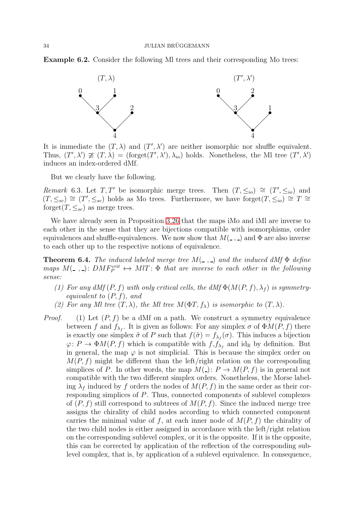Example 6.2. Consider the following Ml trees and their corresponding Mo trees:



It is immediate the  $(T, \lambda)$  and  $(T', \lambda')$  are neither isomorphic nor shuffle equivalent. Thus,  $(T',\lambda') \ncong (T,\lambda) = (\text{forget}(T',\lambda'),\lambda_{io})$  holds. Nonetheless, the MI tree  $(T',\lambda')$ induces an index-ordered dMf.

But we clearly have the following.

Remark 6.3. Let T, T' be isomorphic merge trees. Then  $(T, \leq_{io}) \cong (T', \leq_{io})$  and  $(T, \leq_{sc}) \cong (T', \leq_{sc})$  holds as Mo trees. Furthermore, we have forget $(T, \leq_{io}) \cong T \cong T$ forget $(T, \leq_{sc})$  as merge trees.

We have already seen in Proposition [3.26](#page-11-2) that the maps iMo and iMl are inverse to each other in the sense that they are bijections compatible with isomorphisms, order equivalences and shuffle-equivalences. We now show that  $M(\_ ,\_ )$  and  $\Phi$  are also inverse to each other up to the respective notions of equivalence.

<span id="page-33-0"></span>**Theorem 6.4.** The induced labeled merge tree  $M(\_ , \_ )$  and the induced dMf  $\Phi$  define maps  $M($ , ():  $DMF_P^{crit} \leftrightarrow MIT$ :  $\Phi$  that are inverse to each other in the following sense:

- (1) For any  $dMf(P, f)$  with only critical cells, the  $dMf\Phi(M(P, f), \lambda_f)$  is symmetryequivalent to  $(P, f)$ , and
- (2) For any Ml tree  $(T, \lambda)$ , the Ml tree  $M(\Phi T, f_{\lambda})$  is isomorphic to  $(T, \lambda)$ .
- *Proof.* (1) Let  $(P, f)$  be a dMf on a path. We construct a symmetry equivalence between f and  $f_{\lambda_f}$ . It is given as follows: For any simplex  $\sigma$  of  $\Phi M(P, f)$  there is exactly one simplex  $\tilde{\sigma}$  of P such that  $f(\tilde{\sigma}) = f_{\lambda_f}(\sigma)$ . This induces a bijection  $\varphi: P \to \Phi M(P, f)$  which is compatible with  $f, f_{\lambda_f}$  and id<sub>R</sub> by definition. But in general, the map  $\varphi$  is not simplicial. This is because the simplex order on  $M(P, f)$  might be different than the left/right relation on the corresponding simplices of P. In other words, the map  $M(\_)$ :  $P \to M(P, f)$  is in general not compatible with the two different simplex orders. Nonetheless, the Morse labeling  $\lambda_f$  induced by f orders the nodes of  $M(P, f)$  in the same order as their corresponding simplices of P. Thus, connected components of sublevel complexes of  $(P, f)$  still correspond to subtrees of  $M(P, f)$ . Since the induced merge tree assigns the chirality of child nodes according to which connected component carries the minimal value of f, at each inner node of  $M(P, f)$  the chirality of the two child nodes is either assigned in accordance with the left/right relation on the corresponding sublevel complex, or it is the opposite. If it is the opposite, this can be corrected by application of the reflection of the corresponding sublevel complex, that is, by application of a sublevel equivalence. In consequence,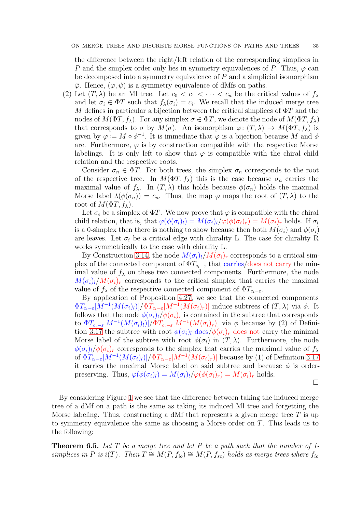the difference between the right/left relation of the corresponding simplices in P and the simplex order only lies in symmetry equivalences of P. Thus,  $\varphi$  can be decomposed into a symmetry equivalence of  $P$  and a simplicial isomorphism  $\tilde{\varphi}$ . Hence,  $(\varphi, \psi)$  is a symmetry equivalence of dMfs on paths.

(2) Let  $(T, \lambda)$  be an Ml tree. Let  $c_0 < c_1 < \cdots < c_n$  be the critical values of  $f_{\lambda}$ and let  $\sigma_i \in \Phi T$  such that  $f_{\lambda}(\sigma_i) = c_i$ . We recall that the induced merge tree M defines in particular a bijection between the critical simplices of  $\Phi T$  and the nodes of  $M(\Phi T, f_\lambda)$ . For any simplex  $\sigma \in \Phi T$ , we denote the node of  $M(\Phi T, f_\lambda)$ that corresponds to  $\sigma$  by  $M(\sigma)$ . An isomorphism  $\varphi: (T, \lambda) \to M(\Phi T, f_\lambda)$  is given by  $\varphi := M \circ \phi^{-1}$ . It is immediate that  $\varphi$  is a bijection because M and  $\phi$ are. Furthermore,  $\varphi$  is by construction compatible with the respective Morse labelings. It is only left to show that  $\varphi$  is compatible with the chiral child relation and the respective roots.

Consider  $\sigma_n \in \Phi T$ . For both trees, the simplex  $\sigma_n$  corresponds to the root of the respective tree. In  $M(\Phi T, f_{\lambda})$  this is the case because  $\sigma_n$  carries the maximal value of  $f_{\lambda}$ . In  $(T, \lambda)$  this holds because  $\phi(\sigma_n)$  holds the maximal Morse label  $\lambda(\phi(\sigma_n)) = c_n$ . Thus, the map  $\varphi$  maps the root of  $(T, \lambda)$  to the root of  $M(\Phi T, f_\lambda)$ .

Let  $\sigma_i$  be a simplex of  $\Phi T$ . We now prove that  $\varphi$  is compatible with the chiral child relation, that is, that  $\varphi(\phi(\sigma_i)_l) = M(\sigma_i)_l/\varphi(\phi(\sigma_i)_r) = M(\sigma_i)_r$  holds. If  $\sigma_i$ is a 0-simplex then there is nothing to show because then both  $M(\sigma_i)$  and  $\phi(\sigma_i)$ are leaves. Let  $\sigma_i$  be a critical edge with chirality L. The case for chirality R works symmetrically to the case with chirality L.

By Construction [3.14,](#page-6-0) the node  $M(\sigma_i)_l/M(\sigma_i)_r$  corresponds to a critical simplex of the connected component of  $\Phi T_{c_i-\varepsilon}$  that carries/does not carry the minimal value of  $f_{\lambda}$  on these two connected components. Furthermore, the node  $M(\sigma_i)_l/M(\sigma_i)_r$  corresponds to the critical simplex that carries the maximal value of  $f_{\lambda}$  of the respective connected component of  $\Phi T_{c_i-\varepsilon}$ .

By application of Proposition [4.27,](#page-29-0) we see that the connected components  $\Phi T_{c_i-\varepsilon}[M^{-1}(M(\sigma_i)_l)]/\Phi T_{c_i-\varepsilon}[M^{-1}(M(\sigma_i)_r)]$  induce subtrees of  $(T, \lambda)$  via  $\phi$ . It follows that the node  $\phi(\sigma_i)_l/\phi(\sigma_i)_r$  is contained in the subtree that corresponds to  $\Phi T_{c_i-\varepsilon}[M^{-1}(M(\sigma_i)_l)]/\Phi T_{c_i-\varepsilon}[M^{-1}(M(\sigma_i)_r)]$  via  $\phi$  because by (2) of Defini-tion [3.17](#page-7-0) the subtree with root  $\phi(\sigma_i)_l$  does/ $\phi(\sigma_i)_r$  does not carry the minimal Morse label of the subtree with root  $\phi(\sigma_i)$  in  $(T, \lambda)$ . Furthermore, the node  $\phi(\sigma_i)_l/\phi(\sigma_i)_r$  corresponds to the simplex that carries the maximal value of  $f_\lambda$ of  $\Phi T_{c_i-\varepsilon}[M^{-1}(M(\sigma_i)_l)]/\Phi T_{c_i-\varepsilon}[M^{-1}(M(\sigma_i)_r)]$  because by (1) of Definition [3.17](#page-7-0) it carries the maximal Morse label on said subtree and because  $\phi$  is orderpreserving. Thus,  $\varphi(\phi(\sigma_i)_l) = M(\sigma_i)_l/\varphi(\phi(\sigma_i)_r) = M(\sigma_i)_r$  holds.

 $\Box$ 

By considering Figure [1](#page-32-2) we see that the difference between taking the induced merge tree of a dMf on a path is the same as taking its induced Ml tree and forgetting the Morse labeling. Thus, constructing a dMf that represents a given merge tree  $T$  is up to symmetry equivalence the same as choosing a Morse order on T. This leads us to the following:

<span id="page-34-0"></span>**Theorem 6.5.** Let T be a merge tree and let P be a path such that the number of 1simplices in P is i(T). Then  $T \cong M(P, f_{io}) \cong M(P, f_{sc})$  holds as merge trees where  $f_{io}$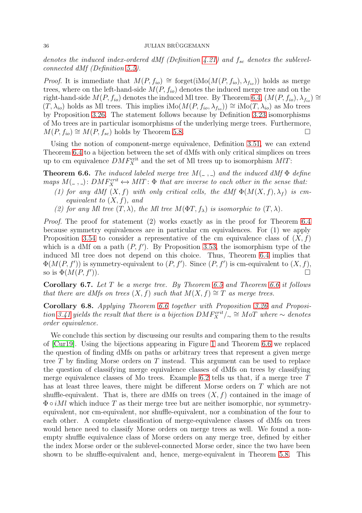denotes the induced index-ordered dMf (Definition [4.21\)](#page-28-1) and  $f_{sc}$  denotes the sublevelconnected dMf (Definition [5.5\)](#page-30-1).

*Proof.* It is immediate that  $M(P, f_{io}) \cong$  forget(iMo( $M(P, f_{io}), \lambda_{f_{io}}$ )) holds as merge trees, where on the left-hand-side  $M(P, f_{io})$  denotes the induced merge tree and on the right-hand-side  $M(P, f_{io})$  denotes the induced Ml tree. By Theorem [6.4,](#page-33-0)  $(M(P, f_{io}), \lambda_{f_{io}}) \cong$  $(T, \lambda_{io})$  holds as Ml trees. This implies iMo $(M(P, f_{io}, \lambda_{f_{io}})) \cong \text{iMo}(T, \lambda_{io})$  as Mo trees by Proposition [3.26.](#page-11-2) The statement follows because by Definition [3.23](#page-10-1) isomorphisms of Mo trees are in particular isomorphisms of the underlying merge trees. Furthermore,  $M(P, f_{io}) \cong M(P, f_{sc})$  holds by Theorem [5.8.](#page-31-1)

Using the notion of component-merge equivalence, Definition [3.51,](#page-18-0) we can extend Theorem [6.4](#page-33-0) to a bijection between the set of dMfs with only critical simplices on trees up to cm equivalence  $DMF_X^{\text{crit}}$  and the set of Ml trees up to isomorphism  $MI$ :

<span id="page-35-0"></span>**Theorem 6.6.** The induced labeled merge tree  $M(\_ ,\_ )$  and the induced dMf  $\Phi$  define maps  $M($ ,  $)$ :  $DMF_X^{crit}$   $\leftrightarrow MIT$ :  $\Phi$  that are inverse to each other in the sense that:

- (1) for any dMf  $(X, f)$  with only critical cells, the dMf  $\Phi(M(X, f), \lambda_f)$  is cmequivalent to  $(X, f)$ , and
- (2) for any Ml tree  $(T, \lambda)$ , the Ml tree  $M(\Phi T, f_{\lambda})$  is isomorphic to  $(T, \lambda)$ .

Proof. The proof for statement (2) works exactly as in the proof for Theorem [6.4](#page-33-0) because symmetry equivalences are in particular cm equivalences. For (1) we apply Proposition [3.54](#page-19-0) to consider a representative of the cm equivalence class of  $(X, f)$ which is a dMf on a path  $(P, f')$ . By Proposition [3.53,](#page-18-1) the isomorphism type of the induced Ml tree does not depend on this choice. Thus, Theorem [6.4](#page-33-0) implies that  $\Phi(M(P, f'))$  is symmetry-equivalent to  $(P, f')$ . Since  $(P, f')$  is cm-equivalent to  $(X, f)$ , so is  $\Phi(M(P, f'))$ . )).  $\Box$ 

**Corollary 6.7.** Let T be a merge tree. By Theorem [6.5](#page-34-0) and Theorem [6.6](#page-35-0) it follows that there are dMfs on trees  $(X, f)$  such that  $M(X, f) \cong T$  as merge trees.

Corollary 6.8. Applying Theorem [6.6](#page-35-0) together with Proposition [3.26](#page-11-2) and Proposi-tion [3.41](#page-15-0) yields the result that there is a bijection  $DMF_X^{crit}/\sim \cong M \circ T$  where  $\sim$  denotes order equivalence.

We conclude this section by discussing our results and comparing them to the results of [\[Cur19\]](#page-58-16). Using the bijections appearing in Figure [1](#page-32-2) and Theorem [6.6](#page-35-0) we replaced the question of finding dMfs on paths or arbitrary trees that represent a given merge tree  $T$  by finding Morse orders on  $T$  instead. This argument can be used to replace the question of classifying merge equivalence classes of dMfs on trees by classifying merge equivalence classes of Mo trees. Example [6.2](#page-32-1) tells us that, if a merge tree  $T$ has at least three leaves, there might be different Morse orders on T which are not shuffle-equivalent. That is, there are dMfs on trees  $(X, f)$  contained in the image of  $\Phi \circ i$ Ml which induce T as their merge tree but are neither isomorphic, nor symmetryequivalent, nor cm-equivalent, nor shuffle-equivalent, nor a combination of the four to each other. A complete classification of merge-equivalence classes of dMfs on trees would hence need to classify Morse orders on merge trees as well. We found a nonempty shuffle equivalence class of Morse orders on any merge tree, defined by either the index Morse order or the sublevel-connected Morse order, since the two have been shown to be shuffle-equivalent and, hence, merge-equivalent in Theorem [5.8.](#page-31-1) This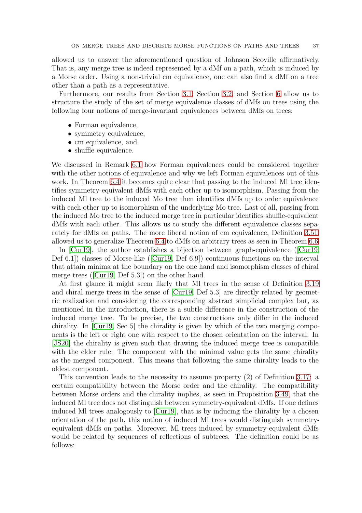allowed us to answer the aforementioned question of Johnson–Scoville affirmatively. That is, any merge tree is indeed represented by a dMf on a path, which is induced by a Morse order. Using a non-trivial cm equivalence, one can also find a dMf on a tree other than a path as a representative.

Furthermore, our results from Section [3.1,](#page-5-0) Section [3.2,](#page-11-0) and Section [6](#page-32-0) allow us to structure the study of the set of merge equivalence classes of dMfs on trees using the following four notions of merge-invariant equivalences between dMfs on trees:

- Forman equivalence,
- symmetry equivalence,
- cm equivalence, and
- shuffle equivalence.

We discussed in Remark [6.1](#page-32-3) how Forman equivalences could be considered together with the other notions of equivalence and why we left Forman equivalences out of this work. In Theorem [6.4](#page-33-0) it becomes quite clear that passing to the induced Ml tree identifies symmetry-equivalent dMfs with each other up to isomorphism. Passing from the induced Ml tree to the induced Mo tree then identifies dMfs up to order equivalence with each other up to isomorphism of the underlying Mo tree. Last of all, passing from the induced Mo tree to the induced merge tree in particular identifies shuffle-equivalent dMfs with each other. This allows us to study the different equivalence classes separately for dMfs on paths. The more liberal notion of cm equivalence, Definition [3.51,](#page-18-0) allowed us to generalize Theorem [6.4](#page-33-0) to dMfs on arbitrary trees as seen in Theorem [6.6.](#page-35-0)

In [\[Cur19\]](#page-58-16), the author establishes a bijection between graph-equivalence ([\[Cur19,](#page-58-16) Def 6.1]) classes of Morse-like ([\[Cur19,](#page-58-16) Def 6.9]) continuous functions on the interval that attain minima at the boundary on the one hand and isomorphism classes of chiral merge trees ([\[Cur19,](#page-58-16) Def 5.3]) on the other hand.

At first glance it might seem likely that Ml trees in the sense of Definition [3.19](#page-7-1) and chiral merge trees in the sense of [\[Cur19,](#page-58-16) Def 5.3] are directly related by geometric realization and considering the corresponding abstract simplicial complex but, as mentioned in the introduction, there is a subtle difference in the construction of the induced merge tree. To be precise, the two constructions only differ in the induced chirality. In [\[Cur19,](#page-58-16) Sec 5] the chirality is given by which of the two merging components is the left or right one with respect to the chosen orientation on the interval. In [\[JS20\]](#page-58-15) the chirality is given such that drawing the induced merge tree is compatible with the elder rule: The component with the minimal value gets the same chirality as the merged component. This means that following the same chirality leads to the oldest component.

<span id="page-36-0"></span>This convention leads to the necessity to assume property (2) of Definition [3.17:](#page-7-0) a certain compatibility between the Morse order and the chirality. The compatibility between Morse orders and the chirality implies, as seen in Proposition [3.49,](#page-17-0) that the induced Ml tree does not distinguish between symmetry-equivalent dMfs. If one defines induced Ml trees analogously to [\[Cur19\]](#page-58-16), that is by inducing the chirality by a chosen orientation of the path, this notion of induced Ml trees would distinguish symmetryequivalent dMfs on paths. Moreover, Ml trees induced by symmetry-equivalent dMfs would be related by sequences of reflections of subtrees. The definition could be as follows: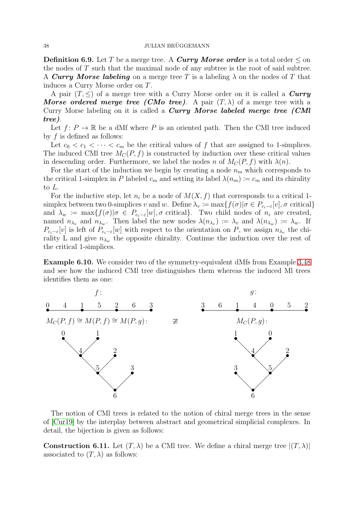**Definition 6.9.** Let T be a merge tree. A **Curry Morse order** is a total order  $\leq$  on the nodes of  $T$  such that the maximal node of any subtree is the root of said subtree. A Curry Morse labeling on a merge tree T is a labeling  $\lambda$  on the nodes of T that induces a Curry Morse order on T.

A pair  $(T, \leq)$  of a merge tree with a Curry Morse order on it is called a *Curry* **Morse ordered merge tree (CMo tree).** A pair  $(T, \lambda)$  of a merge tree with a Curry Morse labeling on it is called a **Curry Morse labeled merge tree** (**CMI**) tree).

Let  $f: P \to \mathbb{R}$  be a dMf where P is an oriented path. Then the CMI tree induced by  $f$  is defined as follows:

Let  $c_0 < c_1 < \cdots < c_m$  be the critical values of f that are assigned to 1-simplices. The induced CMI tree  $M_C(P, f)$  is constructed by induction over these critical values in descending order. Furthermore, we label the nodes n of  $M_C(P, f)$  with  $\lambda(n)$ .

For the start of the induction we begin by creating a node  $n<sub>m</sub>$  which corresponds to the critical 1-simplex in P labeled  $c_m$  and setting its label  $\lambda(n_m) \coloneqq c_m$  and its chirality to L.

For the inductive step, let  $n_i$  be a node of  $M(X, f)$  that corresponds to a critical 1simplex between two 0-simplices v and w. Define  $\lambda_v := \max\{f(\sigma) | \sigma \in P_{c_i-\varepsilon}[v], \sigma \text{ critical}\}\$ and  $\lambda_w := \max\{f(\sigma)|\sigma \in P_{c_i-\varepsilon}[w], \sigma \text{ critical}\}\.$  Two child nodes of  $n_i$  are created, named  $n_{\lambda_v}$  and  $n_{\lambda_w}$ . Then label the new nodes  $\lambda(n_{\lambda_v}) \coloneqq \lambda_v$  and  $\lambda(n_{\lambda_w}) \coloneqq \lambda_w$ . If  $P_{c_i-\varepsilon}[v]$  is left of  $P_{c_i-\varepsilon}[w]$  with respect to the orientation on P, we assign  $n_{\lambda_v}$  the chirality L and give  $n_{\lambda_w}$  the opposite chirality. Continue the induction over the rest of the critical 1-simplices.

<span id="page-37-0"></span>Example 6.10. We consider two of the symmetry-equivalent dMfs from Example [3.48](#page-17-1) and see how the induced CMl tree distinguishes them whereas the induced Ml trees identifies them as one:



The notion of CMl trees is related to the notion of chiral merge trees in the sense of [\[Cur19\]](#page-58-16) by the interplay between abstract and geometrical simplicial complexes. In detail, the bijection is given as follows:

**Construction 6.11.** Let  $(T, \lambda)$  be a CMI tree. We define a chiral merge tree  $|(T, \lambda)|$ associated to  $(T, \lambda)$  as follows: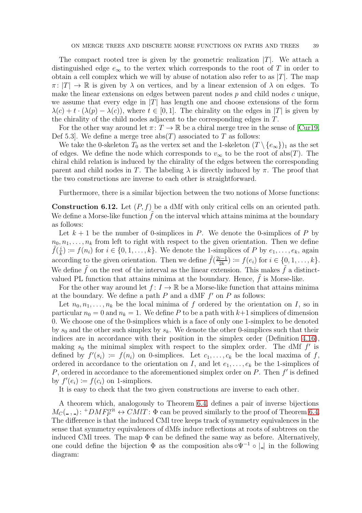The compact rooted tree is given by the geometric realization  $|T|$ . We attach a distinguished edge  $e_{\infty}$  to the vertex which corresponds to the root of T in order to obtain a cell complex which we will by abuse of notation also refer to as  $|T|$ . The map  $\pi: |T| \to \mathbb{R}$  is given by  $\lambda$  on vertices, and by a linear extension of  $\lambda$  on edges. To make the linear extensions on edges between parent nodes  $p$  and child nodes  $c$  unique, we assume that every edge in  $|T|$  has length one and choose extensions of the form  $\lambda(c) + t \cdot (\lambda(p) - \lambda(c))$ , where  $t \in [0, 1]$ . The chirality on the edges in |T| is given by the chirality of the child nodes adjacent to the corresponding edges in T.

For the other way around let  $\pi: T \to \mathbb{R}$  be a chiral merge tree in the sense of [\[Cur19,](#page-58-16) Def 5.3. We define a merge tree  $abs(T)$  associated to T as follows:

We take the 0-skeleton  $T_0$  as the vertex set and the 1-skeleton  $(T \setminus \{e_{\infty}\})_1$  as the set of edges. We define the node which corresponds to  $v_{\infty}$  to be the root of abs(T). The chiral child relation is induced by the chirality of the edges between the corresponding parent and child nodes in T. The labeling  $\lambda$  is directly induced by  $\pi$ . The proof that the two constructions are inverse to each other is straightforward.

Furthermore, there is a similar bijection between the two notions of Morse functions:

**Construction 6.12.** Let  $(P, f)$  be a dMf with only critical cells on an oriented path. We define a Morse-like function  $f$  on the interval which attains minima at the boundary as follows:

Let  $k + 1$  be the number of 0-simplices in P. We denote the 0-simplices of P by  $n_0, n_1, \ldots, n_k$  from left to right with respect to the given orientation. Then we define  $\tilde{f}(\frac{i}{k})$  $\lambda_k^i := f(n_i)$  for  $i \in \{0, 1, \ldots, k\}$ . We denote the 1-simplices of P by  $e_1, \ldots, e_k$ , again according to the given orientation. Then we define  $\tilde{f}(\frac{2i-1}{2k})$  $\frac{i-1}{2k}) \coloneqq f(e_i) \text{ for } i \in \{0, 1, \ldots, k\}.$ We define  $\tilde{f}$  on the rest of the interval as the linear extension. This makes  $\tilde{f}$  a distinctvalued PL function that attains minima at the boundary. Hence,  $\tilde{f}$  is Morse-like.

For the other way around let  $f: I \to \mathbb{R}$  be a Morse-like function that attains minima at the boundary. We define a path  $P$  and a dMF  $f'$  on  $P$  as follows:

Let  $n_0, n_1, \ldots, n_k$  be the local minima of f ordered by the orientation on I, so in particular  $n_0 = 0$  and  $n_k = 1$ . We define P to be a path with  $k+1$  simplices of dimension 0. We choose one of the 0-simplices which is a face of only one 1-simplex to be denoted by  $s_0$  and the other such simplex by  $s_k$ . We denote the other 0-simplices such that their indices are in accordance with their position in the simplex order (Definition [4.16\)](#page-27-4), making  $s_0$  the minimal simplex with respect to the simplex order. The dMf  $f'$  is defined by  $f'(s_i) := f(n_i)$  on 0-simplices. Let  $c_1, \ldots, c_k$  be the local maxima of f, ordered in accordance to the orientation on I, and let  $e_1, \ldots, e_k$  be the 1-simplices of P, ordered in accordance to the aforementioned simplex order on  $P$ . Then  $f'$  is defined by  $f'(e_i) \coloneqq f(c_i)$  on 1-simplices.

It is easy to check that the two given constructions are inverse to each other.

A theorem which, analogously to Theorem [6.4,](#page-33-0) defines a pair of inverse bijections  $M_C(\text{I}, \text{I}): + DMF_P^{\text{crit}} \leftrightarrow CMIT: \Phi$  can be proved similarly to the proof of Theorem [6.4.](#page-33-0) The difference is that the induced CMl tree keeps track of symmetry equivalences in the sense that symmetry equivalences of dMfs induce reflections at roots of subtrees on the induced CMl trees. The map  $\Phi$  can be defined the same way as before. Alternatively, one could define the bijection  $\Phi$  as the composition abs  $\Phi^{-1} \circ | \cdot |$  in the following diagram: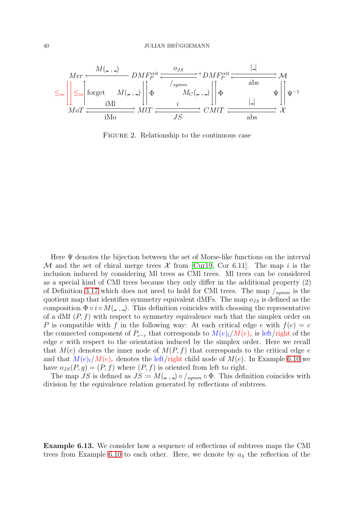

<span id="page-39-0"></span>Figure 2. Relationship to the continuous case

Here  $\Psi$  denotes the bijection between the set of Morse-like functions on the interval M and the set of chiral merge trees  $\mathcal X$  from [\[Cur19,](#page-58-16) Cor 6.11]. The map i is the inclusion induced by considering Ml trees as CMl trees. Ml trees can be considered as a special kind of CMl trees because they only differ in the additional property (2) of Definition [3.17](#page-7-0) which does not need to hold for CMI trees. The map  $\frac{1}{symm}$  is the quotient map that identifies symmetry equivalent dMFs. The map  $o_{JS}$  is defined as the composition  $\Phi \circ i \circ M($ ,  $)$ . This definition coincides with choosing the representative of a dMf  $(P, f)$  with respect to symmetry equivalence such that the simplex order on P is compatible with f in the following way: At each critical edge e with  $f(e) = c$ the connected component of  $P_{c-\varepsilon}$  that corresponds to  $M(e)_l/M(e)_r$  is left/right of the edge e with respect to the orientation induced by the simplex order. Here we recall that  $M(e)$  denotes the inner node of  $M(P, f)$  that corresponds to the critical edge e and that  $M(e)_l/M(e)_r$  denotes the left/right child node of  $M(e)$ . In Example [6.10](#page-37-0) we have  $o_{JS}(P, g) = (P, f)$  where  $(P, f)$  is oriented from left to right.

The map JS is defined as  $JS := M($ ,  $) \circ /_{symm} \circ \Phi$ . This definition coincides with division by the equivalence relation generated by reflections of subtrees.

Example 6.13. We consider how a sequence of reflections of subtrees maps the CMl trees from Example [6.10](#page-37-0) to each other. Here, we denote by  $a_{\lambda}$  the reflection of the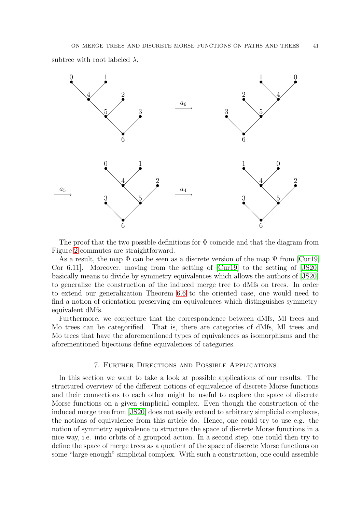subtree with root labeled  $\lambda$ .



The proof that the two possible definitions for  $\Phi$  coincide and that the diagram from Figure [2](#page-39-0) commutes are straightforward.

As a result, the map  $\Phi$  can be seen as a discrete version of the map  $\Psi$  from [\[Cur19,](#page-58-16) Cor 6.11]. Moreover, moving from the setting of [\[Cur19\]](#page-58-16) to the setting of [\[JS20\]](#page-58-15) basically means to divide by symmetry equivalences which allows the authors of [\[JS20\]](#page-58-15) to generalize the construction of the induced merge tree to dMfs on trees. In order to extend our generalization Theorem [6.6](#page-35-0) to the oriented case, one would need to find a notion of orientation-preserving cm equivalences which distinguishes symmetryequivalent dMfs.

Furthermore, we conjecture that the correspondence between dMfs, Ml trees and Mo trees can be categorified. That is, there are categories of dMfs, Ml trees and Mo trees that have the aforementioned types of equivalences as isomorphisms and the aforementioned bijections define equivalences of categories.

## 7. Further Directions and Possible Applications

<span id="page-40-0"></span>In this section we want to take a look at possible applications of our results. The structured overview of the different notions of equivalence of discrete Morse functions and their connections to each other might be useful to explore the space of discrete Morse functions on a given simplicial complex. Even though the construction of the induced merge tree from [\[JS20\]](#page-58-15) does not easily extend to arbitrary simplicial complexes, the notions of equivalence from this article do. Hence, one could try to use e.g. the notion of symmetry equivalence to structure the space of discrete Morse functions in a nice way, i.e. into orbits of a groupoid action. In a second step, one could then try to define the space of merge trees as a quotient of the space of discrete Morse functions on some "large enough" simplicial complex. With such a construction, one could assemble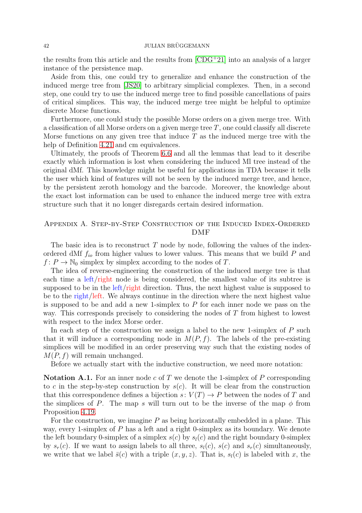## 42 JULIAN BRÜGGEMANN

the results from this article and the results from [\[CDG](#page-58-17)<sup>+</sup>21] into an analysis of a larger instance of the persistence map.

Aside from this, one could try to generalize and enhance the construction of the induced merge tree from [\[JS20\]](#page-58-15) to arbitrary simplicial complexes. Then, in a second step, one could try to use the induced merge tree to find possible cancellations of pairs of critical simplices. This way, the induced merge tree might be helpful to optimize discrete Morse functions.

Furthermore, one could study the possible Morse orders on a given merge tree. With a classification of all Morse orders on a given merge tree  $T$ , one could classify all discrete Morse functions on any given tree that induce  $T$  as the induced merge tree with the help of Definition [4.21](#page-28-1) and cm equivalences.

Ultimately, the proofs of Theorem [6.6](#page-35-0) and all the lemmas that lead to it describe exactly which information is lost when considering the induced Ml tree instead of the original dMf. This knowledge might be useful for applications in TDA because it tells the user which kind of features will not be seen by the induced merge tree, and hence, by the persistent zeroth homology and the barcode. Moreover, the knowledge about the exact lost information can be used to enhance the induced merge tree with extra structure such that it no longer disregards certain desired information.

# <span id="page-41-0"></span>Appendix A. Step-by-Step Construction of the Induced Index-Ordered DMF

The basic idea is to reconstruct  $T$  node by node, following the values of the indexordered dMf  $f_{io}$  from higher values to lower values. This means that we build P and  $f: P \to \mathbb{N}_0$  simplex by simplex according to the nodes of T.

The idea of reverse-engineering the construction of the induced merge tree is that each time a left/right node is being considered, the smallest value of its subtree is supposed to be in the left/right direction. Thus, the next highest value is supposed to be to the right/left. We always continue in the direction where the next highest value is supposed to be and add a new 1-simplex to  $P$  for each inner node we pass on the way. This corresponds precisely to considering the nodes of T from highest to lowest with respect to the index Morse order.

In each step of the construction we assign a label to the new 1-simplex of  $P$  such that it will induce a corresponding node in  $M(P, f)$ . The labels of the pre-existing simplices will be modified in an order preserving way such that the existing nodes of  $M(P, f)$  will remain unchanged.

Before we actually start with the inductive construction, we need more notation:

**Notation A.1.** For an inner node c of T we denote the 1-simplex of P corresponding to c in the step-by-step construction by  $s(c)$ . It will be clear from the construction that this correspondence defines a bijection  $s: V(T) \to P$  between the nodes of T and the simplices of P. The map s will turn out to be the inverse of the map  $\phi$  from Proposition [4.19.](#page-27-1)

For the construction, we imagine  $P$  as being horizontally embedded in a plane. This way, every 1-simplex of  $P$  has a left and a right 0-simplex as its boundary. We denote the left boundary 0-simplex of a simplex  $s(c)$  by  $s<sub>l</sub>(c)$  and the right boundary 0-simplex by  $s_r(c)$ . If we want to assign labels to all three,  $s_l(c)$ ,  $s(c)$  and  $s_r(c)$  simultaneously, we write that we label  $\bar{s}(c)$  with a triple  $(x, y, z)$ . That is,  $s<sub>l</sub>(c)$  is labeled with x, the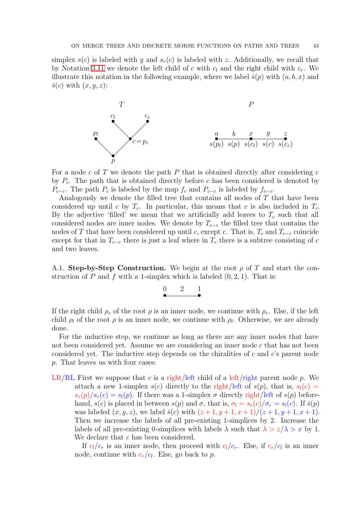simplex  $s(c)$  is labeled with y and  $s_r(c)$  is labeled with z. Additionally, we recall that by Notation [3.11](#page-6-1) we denote the left child of c with  $c_l$  and the right child with  $c_r$ . We illustrate this notation in the following example, where we label  $\bar{s}(p)$  with  $(a, b, x)$  and  $\bar{s}(c)$  with  $(x, y, z)$ :



For a node  $c$  of  $T$  we denote the path  $P$  that is obtained directly after considering  $c$ by  $P_c$ . The path that is obtained directly before c has been considered is denoted by  $P_{c-\varepsilon}$ . The path  $P_c$  is labeled by the map  $f_c$  and  $P_{c-\varepsilon}$  is labeled by  $f_{c-\varepsilon}$ .

Analogously we denote the filled tree that contains all nodes of T that have been considered up until c by  $T_c$ . In particular, this means that c is also included in  $T_c$ . By the adjective 'filled' we mean that we artificially add leaves to  $T_c$  such that all considered nodes are inner nodes. We denote by  $T_{c-\varepsilon}$  the filled tree that contains the nodes of T that have been considered up until c, except c. That is,  $T_c$  and  $T_{c-\varepsilon}$  coincide except for that in  $T_{c-\varepsilon}$  there is just a leaf where in  $T_c$  there is a subtree consisting of c and two leaves.

<span id="page-42-0"></span>A.1. Step-by-Step Construction. We begin at the root  $\rho$  of T and start the construction of P and f with a 1-simplex which is labeled  $(0, 2, 1)$ . That is:

$$
\overset{0}{\bullet} \overset{2}{\bullet} \overset{1}{\bullet}
$$

If the right child  $\rho_r$  of the root  $\rho$  is an inner node, we continue with  $\rho_r$ . Else, if the left child  $\rho_l$  of the root  $\rho$  is an inner node, we continue with  $\rho_l$ . Otherwise, we are already done.

For the inductive step, we continue as long as there are any inner nodes that have not been considered yet. Assume we are considering an inner node c that has not been considered yet. The inductive step depends on the chiralities of c and  $c$ 's parent node p. That leaves us with four cases:

LR/RL First we suppose that c is a right/left child of a left/right parent node p. We attach a new 1-simplex  $s(c)$  directly to the right/left of  $s(p)$ , that is,  $s<sub>l</sub>(c)$  =  $s_r(p)/s_r(c) = s_l(p)$ . If there was a 1-simplex  $\sigma$  directly right/left of  $s(p)$  beforehand,  $s(c)$  is placed in between  $s(p)$  and  $\sigma$ , that is,  $\sigma_l = s_r(c)/\sigma_r = s_l(c)$ . If  $\bar{s}(p)$ was labeled  $(x, y, z)$ , we label  $\bar{s}(c)$  with  $(z + 1, y + 1, x + 1)/(z + 1, y + 1, x + 1)$ . Then we increase the labels of all pre-existing 1-simplices by 2. Increase the labels of all pre-existing 0-simplices with labels  $\lambda$  such that  $\lambda > z/\lambda > x$  by 1. We declare that c has been considered.

If  $c_l/c_r$  is an inner node, then proceed with  $c_l/c_r$ . Else, if  $c_r/c_l$  is an inner node, continue with  $c_r/c_l$ . Else, go back to p.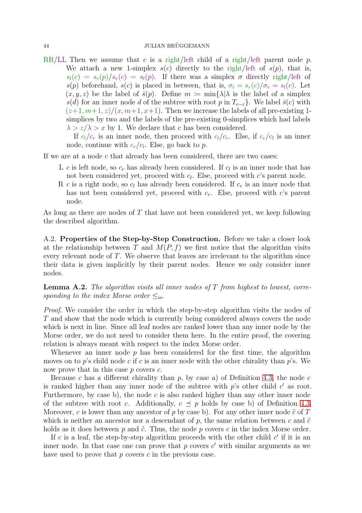## 44 JULIAN BRÜGGEMANN

RR/LL Then we assume that c is a right/left child of a right/left parent node p. We attach a new 1-simplex  $s(c)$  directly to the right/left of  $s(p)$ , that is,  $s_l(c) = s_r(p)/s_r(c) = s_l(p)$ . If there was a simplex  $\sigma$  directly right/left of  $s(p)$  beforehand,  $s(c)$  is placed in between, that is,  $\sigma_l = s_r(c)/\sigma_r = s_l(c)$ . Let  $(x, y, z)$  be the label of  $\bar{s}(p)$ . Define  $m := \min\{\lambda | \lambda \text{ is the label of a simplex }\}$ s(d) for an inner node d of the subtree with root p in  $T_{c-\varepsilon}$ . We label  $\bar{s}(c)$  with  $(z+1, m+1, z)/(x, m+1, x+1)$ . Then we increase the labels of all pre-existing 1simplices by two and the labels of the pre-existing 0-simplices which had labels  $\lambda > z/\lambda > x$  by 1. We declare that c has been considered.

If  $c_l/c_r$  is an inner node, then proceed with  $c_l/c_r$ . Else, if  $c_r/c_l$  is an inner node, continue with  $c_r/c_l$ . Else, go back to p.

If we are at a node  $c$  that already has been considered, there are two cases:

- L c is left node, so  $c_r$  has already been considered. If  $c_l$  is an inner node that has not been considered yet, proceed with  $c_l$ . Else, proceed with  $c$ 's parent node.
- R c is a right node, so  $c_l$  has already been considered. If  $c_r$  is an inner node that has not been considered yet, proceed with  $c_r$ . Else, proceed with c's parent node.

As long as there are nodes of  $T$  that have not been considered yet, we keep following the described algorithm.

<span id="page-43-0"></span>A.2. Properties of the Step-by-Step Construction. Before we take a closer look at the relationship between T and  $M(P, f)$  we first notice that the algorithm visits every relevant node of T. We observe that leaves are irrelevant to the algorithm since their data is given implicitly by their parent nodes. Hence we only consider inner nodes.

<span id="page-43-1"></span>**Lemma A.2.** The algorithm visits all inner nodes of  $T$  from highest to lowest, corresponding to the index Morse order  $\leq_{io}$ .

Proof. We consider the order in which the step-by-step algorithm visits the nodes of T and show that the node which is currently being considered always covers the node which is next in line. Since all leaf nodes are ranked lower than any inner node by the Morse order, we do not need to consider them here. In the entire proof, the covering relation is always meant with respect to the index Morse order.

Whenever an inner node  $p$  has been considered for the first time, the algorithm moves on to p's child node c if c is an inner node with the other chirality than p's. We now prove that in this case  $p$  covers  $c$ .

Because c has a different chirality than  $p$ , by case a) of Definition [4.3,](#page-21-0) the node c is ranked higher than any inner node of the subtree with  $p$ 's other child  $c'$  as root. Furthermore, by case b), the node  $c$  is also ranked higher than any other inner node of the subtree with root c. Additionally,  $c \preceq p$  holds by case b) of Definition [4.3.](#page-21-0) Moreover, c is lower than any ancestor of p by case b). For any other inner node  $\tilde{c}$  of T which is neither an ancestor nor a descendant of p, the same relation between c and  $\tilde{c}$ holds as it does between  $p$  and  $\tilde{c}$ . Thus, the node  $p$  covers  $c$  in the index Morse order.

If c is a leaf, the step-by-step algorithm proceeds with the other child  $c'$  if it is an inner node. In that case one can prove that  $p$  covers  $c'$  with similar arguments as we have used to prove that  $p$  covers  $c$  in the previous case.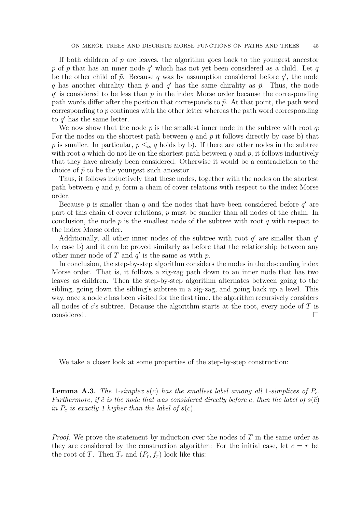If both children of  $p$  are leaves, the algorithm goes back to the youngest ancestor  $\tilde{p}$  of p that has an inner node  $q'$  which has not yet been considered as a child. Let q be the other child of  $\tilde{p}$ . Because q was by assumption considered before  $q'$ , the node q has another chirality than  $\tilde{p}$  and q' has the same chirality as  $\tilde{p}$ . Thus, the node  $q'$  is considered to be less than  $p$  in the index Morse order because the corresponding path words differ after the position that corresponds to  $\tilde{p}$ . At that point, the path word corresponding to p continues with the other letter whereas the path word corresponding to  $q'$  has the same letter.

We now show that the node  $p$  is the smallest inner node in the subtree with root  $q$ : For the nodes on the shortest path between q and p it follows directly by case b) that p is smaller. In particular,  $p \leq_{io} q$  holds by b). If there are other nodes in the subtree with root  $q$  which do not lie on the shortest path between  $q$  and  $p$ , it follows inductively that they have already been considered. Otherwise it would be a contradiction to the choice of  $\tilde{p}$  to be the youngest such ancestor.

Thus, it follows inductively that these nodes, together with the nodes on the shortest path between  $q$  and  $p$ , form a chain of cover relations with respect to the index Morse order.

Because  $p$  is smaller than  $q$  and the nodes that have been considered before  $q'$  are part of this chain of cover relations,  $p$  must be smaller than all nodes of the chain. In conclusion, the node  $p$  is the smallest node of the subtree with root  $q$  with respect to the index Morse order.

Additionally, all other inner nodes of the subtree with root  $q'$  are smaller than  $q'$ by case b) and it can be proved similarly as before that the relationship between any other inner node of  $T$  and  $q'$  is the same as with  $p$ .

In conclusion, the step-by-step algorithm considers the nodes in the descending index Morse order. That is, it follows a zig-zag path down to an inner node that has two leaves as children. Then the step-by-step algorithm alternates between going to the sibling, going down the sibling's subtree in a zig-zag, and going back up a level. This way, once a node c has been visited for the first time, the algorithm recursively considers all nodes of  $c$ 's subtree. Because the algorithm starts at the root, every node of  $T$  is  $\Box$ considered.  $\Box$ 

<span id="page-44-0"></span>We take a closer look at some properties of the step-by-step construction:

**Lemma A.3.** The 1-simplex  $s(c)$  has the smallest label among all 1-simplices of  $P_c$ . Furthermore, if  $\tilde{c}$  is the node that was considered directly before c, then the label of  $s(\tilde{c})$ in  $P_c$  is exactly 1 higher than the label of  $s(c)$ .

*Proof.* We prove the statement by induction over the nodes of T in the same order as they are considered by the construction algorithm: For the initial case, let  $c = r$  be the root of T. Then  $T_r$  and  $(P_r, f_r)$  look like this: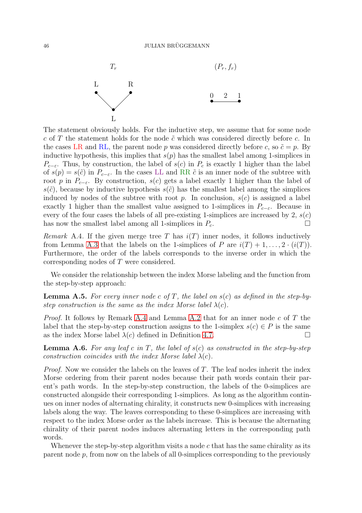

The statement obviously holds. For the inductive step, we assume that for some node c of T the statement holds for the node  $\tilde{c}$  which was considered directly before c. In the cases LR and RL, the parent node p was considered directly before c, so  $\tilde{c} = p$ . By inductive hypothesis, this implies that  $s(p)$  has the smallest label among 1-simplices in  $P_{c-\varepsilon}$ . Thus, by construction, the label of  $s(c)$  in  $P_c$  is exactly 1 higher than the label of  $s(p) = s(\tilde{c})$  in  $P_{c-\varepsilon}$ . In the cases LL and RR  $\tilde{c}$  is an inner node of the subtree with root p in  $P_{c-\varepsilon}$ . By construction, s(c) gets a label exactly 1 higher than the label of  $s(\tilde{c})$ , because by inductive hypothesis  $s(\tilde{c})$  has the smallest label among the simplices induced by nodes of the subtree with root p. In conclusion,  $s(c)$  is assigned a label exactly 1 higher than the smallest value assigned to 1-simplices in  $P_{c-\varepsilon}$ . Because in every of the four cases the labels of all pre-existing 1-simplices are increased by 2,  $s(c)$ has now the smallest label among all 1-simplices in  $P_c$ .

<span id="page-45-0"></span>Remark A.4. If the given merge tree T has  $i(T)$  inner nodes, it follows inductively from Lemma [A.3](#page-44-0) that the labels on the 1-simplices of P are  $i(T) + 1, \ldots, 2 \cdot (i(T))$ . Furthermore, the order of the labels corresponds to the inverse order in which the corresponding nodes of T were considered.

<span id="page-45-1"></span>We consider the relationship between the index Morse labeling and the function from the step-by-step approach:

**Lemma A.5.** For every inner node c of T, the label on  $s(c)$  as defined in the step-bystep construction is the same as the index Morse label  $\lambda(c)$ .

*Proof.* It follows by Remark [A.4](#page-45-0) and Lemma [A.2](#page-43-1) that for an inner node c of T the label that the step-by-step construction assigns to the 1-simplex  $s(c) \in P$  is the same as the index Morse label  $\lambda(c)$  defined in Definition [4.7.](#page-22-0)

<span id="page-45-2"></span>**Lemma A.6.** For any leaf c in T, the label of  $s(c)$  as constructed in the step-by-step construction coincides with the index Morse label  $\lambda(c)$ .

*Proof.* Now we consider the labels on the leaves of  $T$ . The leaf nodes inherit the index Morse ordering from their parent nodes because their path words contain their parent's path words. In the step-by-step construction, the labels of the 0-simplices are constructed alongside their corresponding 1-simplices. As long as the algorithm continues on inner nodes of alternating chirality, it constructs new 0-simplices with increasing labels along the way. The leaves corresponding to these 0-simplices are increasing with respect to the index Morse order as the labels increase. This is because the alternating chirality of their parent nodes induces alternating letters in the corresponding path words.

Whenever the step-by-step algorithm visits a node c that has the same chirality as its parent node  $p$ , from now on the labels of all 0-simplices corresponding to the previously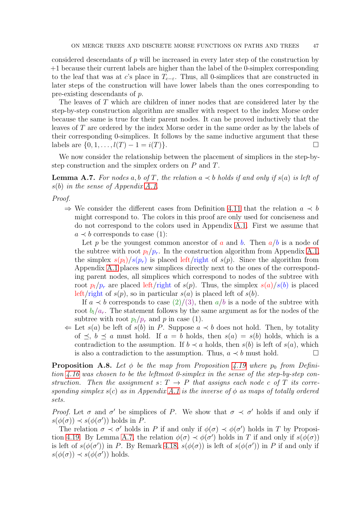considered descendants of  $p$  will be increased in every later step of the construction by +1 because their current labels are higher than the label of the 0-simplex corresponding to the leaf that was at c's place in  $T_{c-\varepsilon}$ . Thus, all 0-simplices that are constructed in later steps of the construction will have lower labels than the ones corresponding to pre-existing descendants of p.

The leaves of T which are children of inner nodes that are considered later by the step-by-step construction algorithm are smaller with respect to the index Morse order because the same is true for their parent nodes. It can be proved inductively that the leaves of T are ordered by the index Morse order in the same order as by the labels of their corresponding 0-simplices. It follows by the same inductive argument that these labels are  $\{0, 1, \ldots, l(T) - 1 = i(T)\}.$ 

<span id="page-46-0"></span>We now consider the relationship between the placement of simplices in the step-bystep construction and the simplex orders on P and T.

**Lemma A.7.** For nodes a, b of T, the relation  $a \prec b$  holds if and only if  $s(a)$  is left of s(b) in the sense of Appendix [A.1.](#page-42-0)

Proof.

 $\Rightarrow$  We consider the different cases from Definition [4.11](#page-23-1) that the relation  $a \prec b$ might correspond to. The colors in this proof are only used for conciseness and do not correspond to the colors used in Appendix [A.1.](#page-42-0) First we assume that  $a \prec b$  corresponds to case (1):

Let p be the youngest common ancestor of a and b. Then  $a/b$  is a node of the subtree with root  $p_l/p_r$ . In the construction algorithm from Appendix [A.1,](#page-42-0) the simplex  $s(p_l)/s(p_r)$  is placed left/right of  $s(p)$ . Since the algorithm from Appendix [A.1](#page-42-0) places new simplices directly next to the ones of the corresponding parent nodes, all simplices which correspond to nodes of the subtree with root  $p_l/p_r$  are placed left/right of  $s(p)$ . Thus, the simplex  $s(a)/s(b)$  is placed left/right of  $s(p)$ , so in particular  $s(a)$  is placed left of  $s(b)$ .

If  $a \prec b$  corresponds to case  $(2)/(3)$ , then  $a/b$  is a node of the subtree with root  $b_l/a_r$ . The statement follows by the same argument as for the nodes of the subtree with root  $p_l/p_r$  and p in case (1).

 $\Leftarrow$  Let  $s(a)$  be left of  $s(b)$  in P. Suppose  $a \prec b$  does not hold. Then, by totality of  $\prec$ ,  $b \prec a$  must hold. If  $a = b$  holds, then  $s(a) = s(b)$  holds, which is a contradiction to the assumption. If  $b \prec a$  holds, then  $s(b)$  is left of  $s(a)$ , which is also a contradiction to the assumption. Thus,  $a \prec b$  must hold.  $\Box$ 

<span id="page-46-1"></span>**Proposition A.8.** Let  $\phi$  be the map from Proposition [4.19](#page-27-1) where  $p_0$  from Definition [4.16](#page-27-4) was chosen to be the leftmost 0-simplex in the sense of the step-by-step construction. Then the assignment  $s: T \to P$  that assigns each node c of T its corresponding simplex  $s(c)$  as in Appendix [A.1](#page-42-0) is the inverse of  $\phi$  as maps of totally ordered sets.

Proof. Let  $\sigma$  and  $\sigma'$  be simplices of P. We show that  $\sigma \prec \sigma'$  holds if and only if  $s(\phi(\sigma)) \prec s(\phi(\sigma'))$  holds in P.

The relation  $\sigma \prec \sigma'$  holds in P if and only if  $\phi(\sigma) \prec \phi(\sigma')$  holds in T by Proposi-tion [4.19.](#page-27-1) By Lemma [A.7,](#page-46-0) the relation  $\phi(\sigma) \prec \phi(\sigma')$  holds in T if and only if  $s(\phi(\sigma))$ is left of  $s(\phi(\sigma'))$  in P. By Remark [4.18,](#page-27-2)  $s(\phi(\sigma))$  is left of  $s(\phi(\sigma'))$  in P if and only if  $s(\phi(\sigma)) \prec s(\phi(\sigma'))$  holds.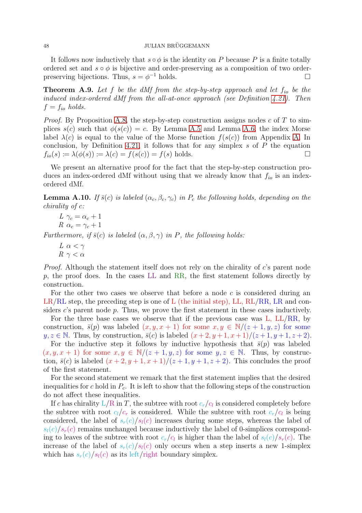## 48 JULIAN BRÜGGEMANN

It follows now inductively that  $s \circ \phi$  is the identity on P because P is a finite totally ordered set and  $s \circ \phi$  is bijective and order-preserving as a composition of two orderpreserving bijections. Thus,  $s = \phi^{-1}$  holds.

<span id="page-47-0"></span>**Theorem A.9.** Let f be the dMf from the step-by-step approach and let  $f_{io}$  be the induced index-ordered dMf from the all-at-once approach (see Definition [4.21\)](#page-28-1). Then  $f = f_{io}$  holds.

*Proof.* By Proposition [A.8,](#page-46-1) the step-by-step construction assigns nodes c of T to simplices  $s(c)$  such that  $\phi(s(c)) = c$ . By Lemma [A.5](#page-45-1) and Lemma [A.6,](#page-45-2) the index Morse label  $\lambda(c)$  is equal to the value of the Morse function  $f(s(c))$  from Appendix [A.](#page-41-0) In conclusion, by Definition [4.21,](#page-28-1) it follows that for any simplex  $s$  of  $P$  the equation  $f_{io}(s) \coloneqq \lambda(\phi(s)) \coloneqq \lambda(c) = f(s(c)) = f(s)$  holds.

We present an alternative proof for the fact that the step-by-step construction produces an index-ordered dMf without using that we already know that  $f_{io}$  is an indexordered dMf.

<span id="page-47-1"></span>**Lemma A.10.** If  $\bar{s}(c)$  is labeled  $(\alpha_c, \beta_c, \gamma_c)$  in  $P_c$  the following holds, depending on the chirality of c:

$$
L \gamma_c = \alpha_c + 1
$$
  

$$
R \alpha_c = \gamma_c + 1
$$

Furthermore, if  $\bar{s}(c)$  is labeled  $(\alpha, \beta, \gamma)$  in P, the following holds:

L  $\alpha < \gamma$  $R \gamma < \alpha$ 

Proof. Although the statement itself does not rely on the chirality of c's parent node  $p$ , the proof does. In the cases LL and RR, the first statement follows directly by construction.

For the other two cases we observe that before a node  $c$  is considered during an  $LR/RL$  step, the preceding step is one of L (the initial step), LL,  $RL/RR$ , LR and considers  $c$ 's parent node  $p$ . Thus, we prove the first statement in these cases inductively.

For the three base cases we observe that if the previous case was L, LL/RR, by construction,  $\bar{s}(p)$  was labeled  $(x, y, x + 1)$  for some  $x, y \in \mathbb{N}/(z + 1, y, z)$  for some  $y, z \in \mathbb{N}$ . Thus, by construction,  $\bar{s}(c)$  is labeled  $(x+2, y+1, x+1)/(z+1, y+1, z+2)$ .

For the inductive step it follows by inductive hypothesis that  $\bar{s}(p)$  was labeled  $(x, y, x + 1)$  for some  $x, y \in \mathbb{N}/(z + 1, y, z)$  for some  $y, z \in \mathbb{N}$ . Thus, by construction,  $\bar{s}(c)$  is labeled  $(x+2, y+1, x+1)/(z+1, y+1, z+2)$ . This concludes the proof of the first statement.

For the second statement we remark that the first statement implies that the desired inequalities for c hold in  $P_c$ . It is left to show that the following steps of the construction do not affect these inequalities.

If c has chirality  $L/R$  in T, the subtree with root  $c_r/c_l$  is considered completely before the subtree with root  $c_l/c_r$  is considered. While the subtree with root  $c_r/c_l$  is being considered, the label of  $s_r(c)/s_l(c)$  increases during some steps, whereas the label of  $s_l(c)/s_r(c)$  remains unchanged because inductively the label of 0-simplices corresponding to leaves of the subtree with root  $c_r/c_l$  is higher than the label of  $s_l(c)/s_r(c)$ . The increase of the label of  $s_r(c)/s_l(c)$  only occurs when a step inserts a new 1-simplex which has  $s_r(c)/s_l(c)$  as its left/right boundary simplex.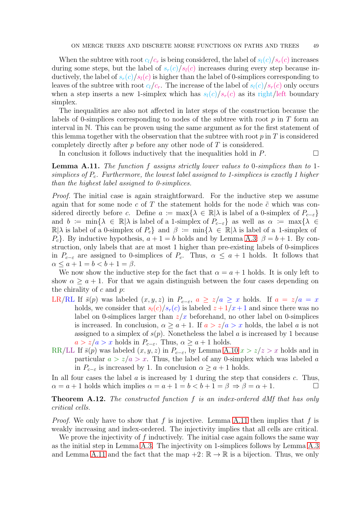When the subtree with root  $c_l/c_r$  is being considered, the label of  $s_l(c)/s_r(c)$  increases during some steps, but the label of  $s_r(c)/s_l(c)$  increases during every step because inductively, the label of  $s_r(c)/s_l(c)$  is higher than the label of 0-simplices corresponding to leaves of the subtree with root  $c_l/c_r$ . The increase of the label of  $s_l(c)/s_r(c)$  only occurs when a step inserts a new 1-simplex which has  $s_l(c)/s_r(c)$  as its right/left boundary simplex.

The inequalities are also not affected in later steps of the construction because the labels of 0-simplices corresponding to nodes of the subtree with root  $p$  in  $T$  form an interval in N. This can be proven using the same argument as for the first statement of this lemma together with the observation that the subtree with root  $p$  in  $T$  is considered completely directly after p before any other node of  $T$  is considered.

<span id="page-48-0"></span>In conclusion it follows inductively that the inequalities hold in  $P$ .

Lemma A.11. The function f assigns strictly lower values to 0-simplices than to 1simplices of  $P_c$ . Furthermore, the lowest label assigned to 1-simplices is exactly 1 higher than the highest label assigned to 0-simplices.

Proof. The initial case is again straightforward. For the inductive step we assume again that for some node c of T the statement holds for the node  $\tilde{c}$  which was considered directly before c. Define  $a := \max\{\lambda \in \mathbb{R} | \lambda \text{ is label of a 0-simplex of } P_{c-\epsilon}\}\$ and  $b := \min\{\lambda \in \mathbb{R} | \lambda \text{ is label of a 1-simplex of } P_{c-\varepsilon}\}\$ as well as  $\alpha := \max\{\lambda \in \mathbb{R} | \lambda \in \mathbb{R} | \lambda \in \mathbb{R}\}\$  $\mathbb{R}|\lambda$  is label of a 0-simplex of  $P_c$  and  $\beta := \min\{\lambda \in \mathbb{R}|\lambda \text{ is label of a 1-simplex of }\lambda\}$  $P_c$ . By inductive hypothesis,  $a + 1 = b$  holds and by Lemma [A.3:](#page-44-0)  $\beta = b + 1$ . By construction, only labels that are at most 1 higher than pre-existing labels of 0-simplices in  $P_{c-\varepsilon}$  are assigned to 0-simplices of  $P_c$ . Thus,  $\alpha \leq a+1$  holds. It follows that  $\alpha \leq a + 1 = b < b + 1 = \beta.$ 

We now show the inductive step for the fact that  $\alpha = a + 1$  holds. It is only left to show  $\alpha \geq a + 1$ . For that we again distinguish between the four cases depending on the chirality of  $c$  and  $p$ :

- LR/RL If  $\bar{s}(p)$  was labeled  $(x, y, z)$  in  $P_{c-\varepsilon}$ ,  $a \ge z/a \ge x$  holds. If  $a = z/a = x$ holds, we consider that  $s_l(c)/s_r(c)$  is labeled  $z + 1/x + 1$  and since there was no label on 0-simplices larger than  $z/x$  beforehand, no other label on 0-simplices is increased. In conclusion,  $\alpha \ge a+1$ . If  $a > z/a > x$  holds, the label a is not assigned to a simplex of  $s(p)$ . Nonetheless the label a is increased by 1 because  $a > z/a > x$  holds in  $P_{c-\varepsilon}$ . Thus,  $\alpha \ge a+1$  holds.
- RR/LL If  $\bar{s}(p)$  was labeled  $(x, y, z)$  in  $P_{c-\varepsilon}$ , by Lemma [A.10](#page-47-1)  $x > z/z > x$  holds and in particular  $a > z/a > x$ . Thus, the label of any 0-simplex which was labeled a in  $P_{c-\varepsilon}$  is increased by 1. In conclusion  $\alpha \ge a+1$  holds.

In all four cases the label  $a$  is increased by 1 during the step that considers  $c$ . Thus,  $\alpha = a + 1$  holds which implies  $\alpha = a + 1 = b < b + 1 = \beta \Rightarrow \beta = \alpha + 1$ .

<span id="page-48-1"></span>**Theorem A.12.** The constructed function f is an index-ordered dMf that has only critical cells.

*Proof.* We only have to show that f is injective. Lemma [A.11](#page-48-0) then implies that f is weakly increasing and index-ordered. The injectivity implies that all cells are critical.

We prove the injectivity of  $f$  inductively. The initial case again follows the same way as the initial step in Lemma [A.3.](#page-44-0) The injectivity on 1-simplices follows by Lemma [A.3](#page-44-0) and Lemma [A.11](#page-48-0) and the fact that the map  $+2: \mathbb{R} \to \mathbb{R}$  is a bijection. Thus, we only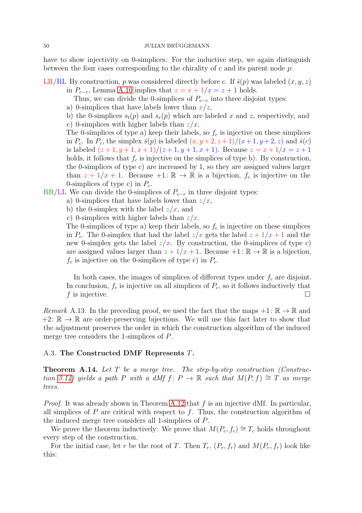have to show injectivity on 0-simplices. For the inductive step, we again distinguish between the four cases corresponding to the chirality of c and its parent node  $p$ .

LR/RL By construction, p was considered directly before c. If  $\bar{s}(p)$  was labeled  $(x, y, z)$ 

- in  $P_{c-\varepsilon}$ , Lemma [A.10](#page-47-1) implies that  $z = x + 1/x = z + 1$  holds.
	- Thus, we can divide the 0-simplices of  $P_{c-\varepsilon}$  into three disjoint types:
- a) 0-simplices that have labels lower than  $x/z$ ,
- b) the 0-simplices  $s_l(p)$  and  $s_r(p)$  which are labeled x and z, respectively, and
- c) 0-simplices with higher labels than  $z/x$ .

The 0-simplices of type a) keep their labels, so  $f_c$  is injective on these simplices in  $P_c$ . In  $P_c$ , the simplex  $\bar{s}(p)$  is labeled  $(x, y+2, z+1)/(x+1, y+2, z)$  and  $\bar{s}(c)$ is labeled  $(z+1, y+1, x+1)/(z+1, y+1, x+1)$ . Because  $z = x + 1/x = z + 1$ holds, it follows that  $f_c$  is injective on the simplices of type b). By construction, the 0-simplices of type c) are increased by 1, so they are assigned values larger than  $z + 1/x + 1$ . Because  $+1: \mathbb{R} \to \mathbb{R}$  is a bijection,  $f_c$  is injective on the 0-simplices of type c) in  $P_c$ .

RR/LL We can divide the 0-simplices of  $P_{c-\varepsilon}$  in three disjoint types:

- a) 0-simplices that have labels lower than  $z/x$ ,
	- b) the 0-simplex with the label  $z/x$ , and
	- c) 0-simplices with higher labels than  $z/x$ .

The 0-simplices of type a) keep their labels, so  $f_c$  is injective on these simplices in  $P_c$ . The 0-simplex that had the label  $z/x$  gets the label  $z + 1/x + 1$  and the new 0-simplex gets the label  $z/x$ . By construction, the 0-simplices of type c) are assigned values larger than  $z + 1/x + 1$ . Because  $+1: \mathbb{R} \to \mathbb{R}$  is a bijection,  $f_c$  is injective on the 0-simplices of type c) in  $P_c$ .

In both cases, the images of simplices of different types under  $f_c$  are disjoint. In conclusion,  $f_c$  is injective on all simplices of  $P_c$ , so it follows inductively that f is injective.

<span id="page-49-1"></span>Remark A.13. In the preceding proof, we used the fact that the maps  $+1: \mathbb{R} \to \mathbb{R}$  and  $+2: \mathbb{R} \to \mathbb{R}$  are order-preserving bijections. We will use this fact later to show that the adjustment preserves the order in which the construction algorithm of the induced merge tree considers the 1-simplices of P.

## <span id="page-49-0"></span>A.3. The Constructed DMF Represents T.

**Theorem A.14.** Let  $T$  be a merge tree. The step-by-step construction (Construc-tion [3.14\)](#page-6-0) yields a path P with a dMf f:  $P \to \mathbb{R}$  such that  $M(P, f) \cong T$  as merge trees.

*Proof.* It was already shown in Theorem [A.12](#page-48-1) that  $f$  is an injective dMf. In particular, all simplices of  $P$  are critical with respect to  $f$ . Thus, the construction algorithm of the induced merge tree considers all 1-simplices of P.

We prove the theorem inductively: We prove that  $M(P_c, f_c) \cong T_c$  holds throughout every step of the construction.

For the initial case, let r be the root of T. Then  $T_r$ ,  $(P_r, f_r)$  and  $M(P_r, f_r)$  look like this: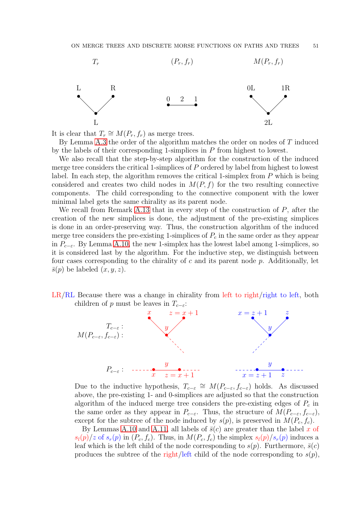

It is clear that  $T_r \cong M(P_r, f_r)$  as merge trees.

By Lemma [A.3](#page-44-0) the order of the algorithm matches the order on nodes of T induced by the labels of their corresponding 1-simplices in P from highest to lowest.

We also recall that the step-by-step algorithm for the construction of the induced merge tree considers the critical 1-simplices of P ordered by label from highest to lowest label. In each step, the algorithm removes the critical 1-simplex from  $P$  which is being considered and creates two child nodes in  $M(P, f)$  for the two resulting connective components. The child corresponding to the connective component with the lower minimal label gets the same chirality as its parent node.

We recall from Remark [A.13](#page-49-1) that in every step of the construction of  $P$ , after the creation of the new simplices is done, the adjustment of the pre-existing simplices is done in an order-preserving way. Thus, the construction algorithm of the induced merge tree considers the pre-existing 1-simplices of  $P_c$  in the same order as they appear in  $P_{c-\varepsilon}$ . By Lemma [A.10,](#page-47-1) the new 1-simplex has the lowest label among 1-simplices, so it is considered last by the algorithm. For the inductive step, we distinguish between four cases corresponding to the chirality of c and its parent node  $p$ . Additionally, let  $\bar{s}(p)$  be labeled  $(x, y, z)$ .





Due to the inductive hypothesis,  $T_{c-\varepsilon} \cong M(P_{c-\varepsilon}, f_{c-\varepsilon})$  holds. As discussed above, the pre-existing 1- and 0-simplices are adjusted so that the construction algorithm of the induced merge tree considers the pre-existing edges of  $P_c$  in the same order as they appear in  $P_{c-\varepsilon}$ . Thus, the structure of  $M(P_{c-\varepsilon}, f_{c-\varepsilon})$ , except for the subtree of the node induced by  $s(p)$ , is preserved in  $M(P_c, f_c)$ .

By Lemmas [A.10](#page-47-1) and [A.11,](#page-48-0) all labels of  $\bar{s}(c)$  are greater than the label x of  $s_l(p)/z$  of  $s_r(p)$  in  $(P_c, f_c)$ . Thus, in  $M(P_c, f_c)$  the simplex  $s_l(p)/s_r(p)$  induces a leaf which is the left child of the node corresponding to  $s(p)$ . Furthermore,  $\bar{s}(c)$ produces the subtree of the right/left child of the node corresponding to  $s(p)$ ,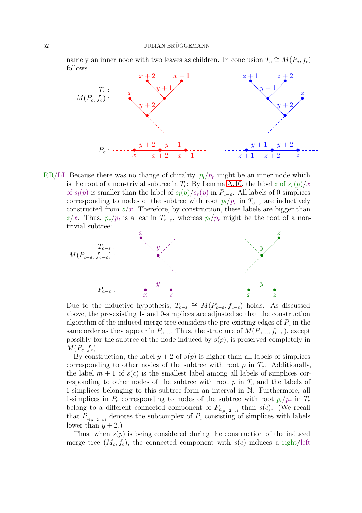namely an inner node with two leaves as children. In conclusion  $T_c \cong M(P_c, f_c)$ follows.



RR/LL Because there was no change of chirality,  $p_l/p_r$  might be an inner node which is the root of a non-trivial subtree in  $T_c$ : By Lemma [A.10,](#page-47-1) the label z of  $s_r(p)/x$ of  $s_l(p)$  is smaller than the label of  $s_l(p)/s_r(p)$  in  $P_{c-\varepsilon}$ . All labels of 0-simplices corresponding to nodes of the subtree with root  $p_l/p_r$  in  $T_{c-\varepsilon}$  are inductively constructed from  $z/x$ . Therefore, by construction, these labels are bigger than z/x. Thus,  $p_r/p_l$  is a leaf in  $T_{c-\varepsilon}$ , whereas  $p_l/p_r$  might be the root of a nontrivial subtree:



Due to the inductive hypothesis,  $T_{c-\varepsilon} \cong M(P_{c-\varepsilon}, f_{c-\varepsilon})$  holds. As discussed above, the pre-existing 1- and 0-simplices are adjusted so that the construction algorithm of the induced merge tree considers the pre-existing edges of  $P_c$  in the same order as they appear in  $P_{c-\varepsilon}$ . Thus, the structure of  $M(P_{c-\varepsilon}, f_{c-\varepsilon})$ , except possibly for the subtree of the node induced by  $s(p)$ , is preserved completely in  $M(P_c, f_c)$ .

By construction, the label  $y + 2$  of  $s(p)$  is higher than all labels of simplices corresponding to other nodes of the subtree with root  $p$  in  $T_c$ . Additionally, the label  $m + 1$  of  $s(c)$  is the smallest label among all labels of simplices corresponding to other nodes of the subtree with root  $p$  in  $T_c$  and the labels of 1-simplices belonging to this subtree form an interval in N. Furthermore, all 1-simplices in  $P_c$  corresponding to nodes of the subtree with root  $p_l/p_r$  in  $T_c$ belong to a different connected component of  $P_{c_{(y+2-\varepsilon)}}$  than s(c). (We recall that  $P_{c_{(y+2-\varepsilon)}}$  denotes the subcomplex of  $P_c$  consisting of simplices with labels lower than  $y + 2$ .

Thus, when  $s(p)$  is being considered during the construction of the induced merge tree  $(M_c, f_c)$ , the connected component with  $s(c)$  induces a right/left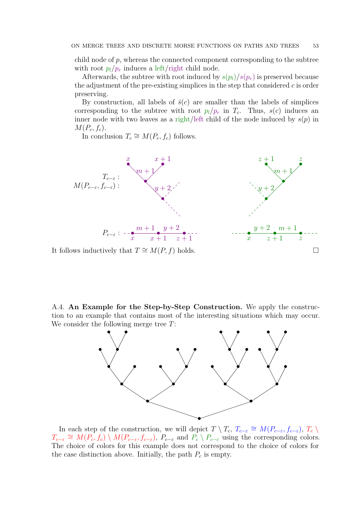child node of  $p$ , whereas the connected component corresponding to the subtree with root  $p_l/p_r$  induces a left/right child node.

Afterwards, the subtree with root induced by  $s(p_l)/s(p_r)$  is preserved because the adjustment of the pre-existing simplices in the step that considered  $c$  is order preserving.

By construction, all labels of  $\bar{s}(c)$  are smaller than the labels of simplices corresponding to the subtree with root  $p_l/p_r$  in  $T_c$ . Thus,  $s(c)$  induces an inner node with two leaves as a right/left child of the node induced by  $s(p)$  in  $M(P_c, f_c)$ .

In conclusion  $T_c \cong M(P_c, f_c)$  follows.



It follows inductively that  $T \cong M(P, f)$  holds.  $□$ 

<span id="page-52-0"></span>A.4. An Example for the Step-by-Step Construction. We apply the construction to an example that contains most of the interesting situations which may occur. We consider the following merge tree  $T$ :



In each step of the construction, we will depict  $T \setminus T_c$ ,  $T_{c-\varepsilon} \cong M(P_{c-\varepsilon}, f_{c-\varepsilon})$ ,  $T_c \setminus T_c$  $T_{c-\varepsilon} \cong M(P_c, f_c) \setminus M(P_{c-\varepsilon}, f_{c-\varepsilon})$ ,  $P_{c-\varepsilon}$  and  $P_c \setminus P_{c-\varepsilon}$  using the corresponding colors. The choice of colors for this example does not correspond to the choice of colors for the case distinction above. Initially, the path  $P_c$  is empty.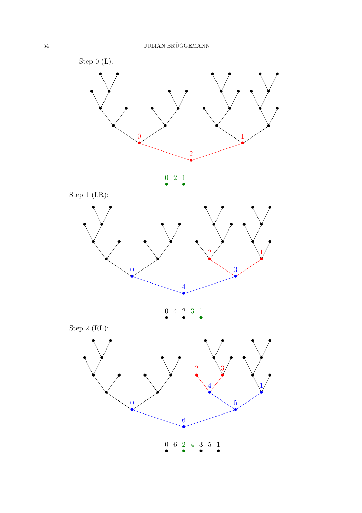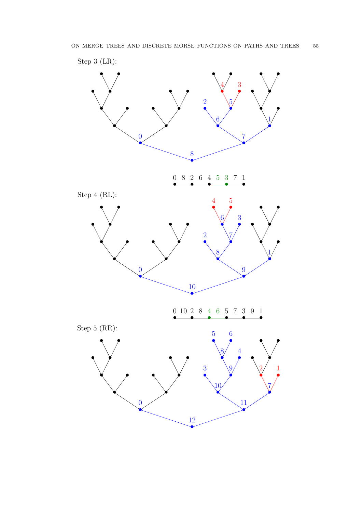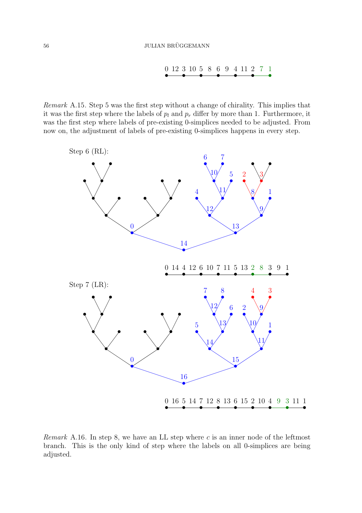• 0 12 10 • 3 5 • 8 9 • 6 • 4 11 2 • 7 • 1

Remark A.15. Step 5 was the first step without a change of chirality. This implies that it was the first step where the labels of  $p_l$  and  $p_r$  differ by more than 1. Furthermore, it was the first step where labels of pre-existing 0-simplices needed to be adjusted. From now on, the adjustment of labels of pre-existing 0-simplices happens in every step.



Remark A.16. In step 8, we have an LL step where  $c$  is an inner node of the leftmost branch. This is the only kind of step where the labels on all 0-simplices are being adjusted.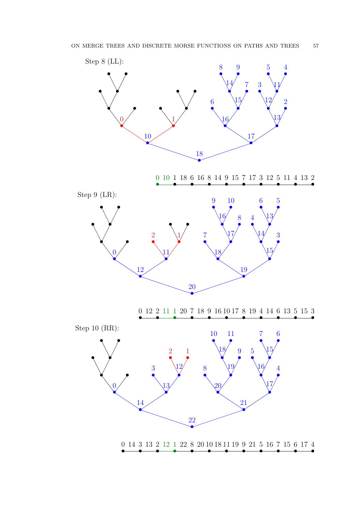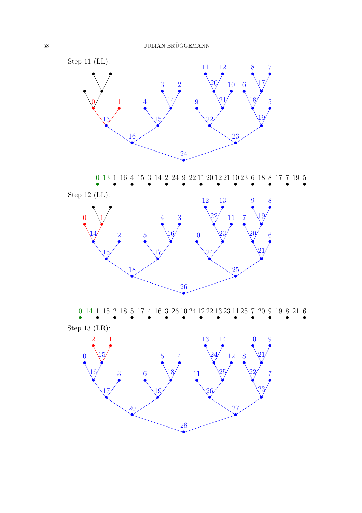